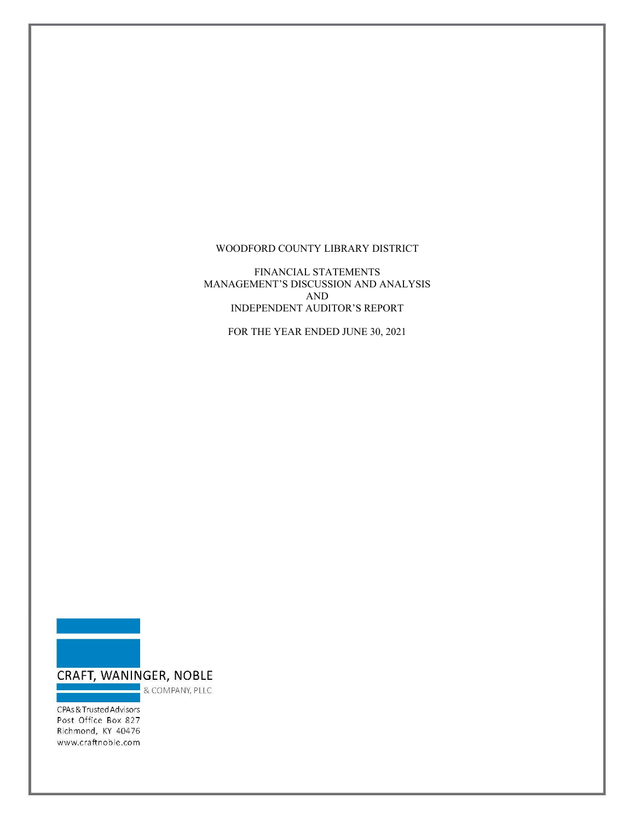#### WOODFORD COUNTY LIBRARY DISTRICT

FINANCIAL STATEMENTS MANAGEMENT'S DISCUSSION AND ANALYSIS AND INDEPENDENT AUDITOR'S REPORT

FOR THE YEAR ENDED JUNE 30, 2021



 $\overline{\phantom{a}}$  & COMPANY, PLLC

CPAs & Trusted Advisors Post Office Box 827 Richmond, KY 40476 www.craftnoble.com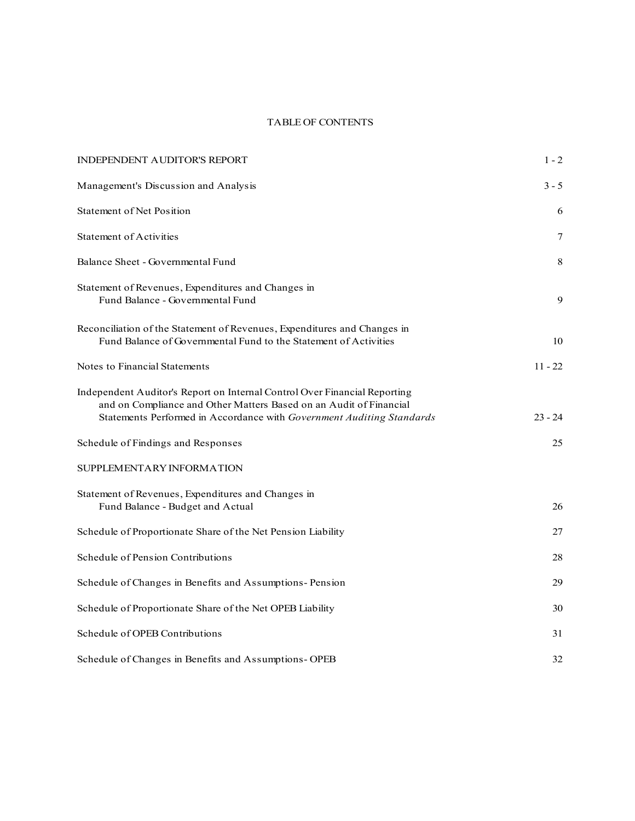## TABLE OF CONTENTS

| <b>INDEPENDENT AUDITOR'S REPORT</b>                                                                                                                                                                                      | $1 - 2$   |
|--------------------------------------------------------------------------------------------------------------------------------------------------------------------------------------------------------------------------|-----------|
| Management's Discussion and Analysis                                                                                                                                                                                     | $3 - 5$   |
| <b>Statement of Net Position</b>                                                                                                                                                                                         | 6         |
| Statement of Activities                                                                                                                                                                                                  | 7         |
| Balance Sheet - Governmental Fund                                                                                                                                                                                        | 8         |
| Statement of Revenues, Expenditures and Changes in<br>Fund Balance - Governmental Fund                                                                                                                                   | 9         |
| Reconciliation of the Statement of Revenues, Expenditures and Changes in<br>Fund Balance of Governmental Fund to the Statement of Activities                                                                             | 10        |
| Notes to Financial Statements                                                                                                                                                                                            | $11 - 22$ |
| Independent Auditor's Report on Internal Control Over Financial Reporting<br>and on Compliance and Other Matters Based on an Audit of Financial<br>Statements Performed in Accordance with Government Auditing Standards | $23 - 24$ |
| Schedule of Findings and Responses                                                                                                                                                                                       | 25        |
| SUPPLEMENTARY INFORMATION                                                                                                                                                                                                |           |
| Statement of Revenues, Expenditures and Changes in<br>Fund Balance - Budget and Actual                                                                                                                                   | 26        |
| Schedule of Proportionate Share of the Net Pension Liability                                                                                                                                                             | 27        |
| Schedule of Pension Contributions                                                                                                                                                                                        | 28        |
| Schedule of Changes in Benefits and Assumptions-Pension                                                                                                                                                                  | 29        |
| Schedule of Proportionate Share of the Net OPEB Liability                                                                                                                                                                | 30        |
| Schedule of OPEB Contributions                                                                                                                                                                                           | 31        |
| Schedule of Changes in Benefits and Assumptions-OPEB                                                                                                                                                                     | 32        |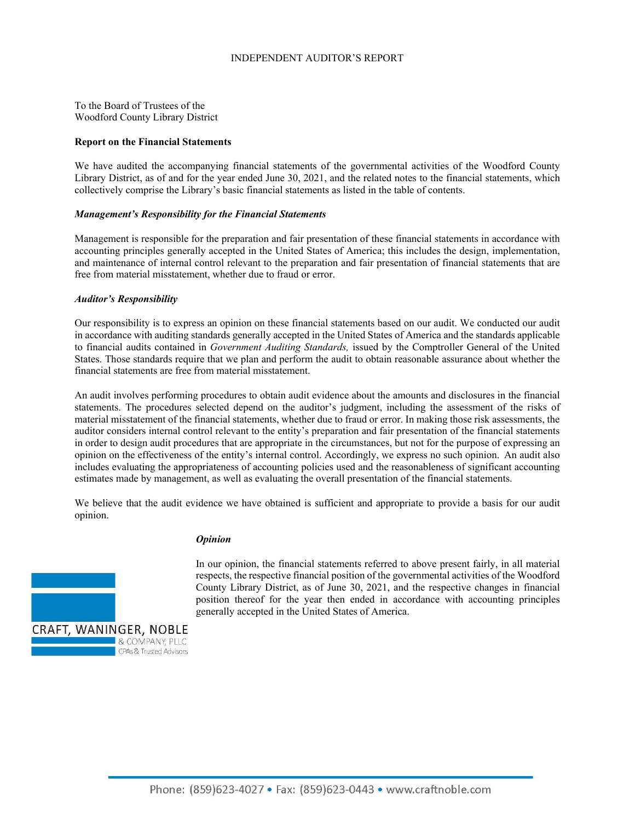#### INDEPENDENT AUDITOR'S REPORT

To the Board of Trustees of the Woodford County Library District

#### **Report on the Financial Statements**

We have audited the accompanying financial statements of the governmental activities of the Woodford County Library District, as of and for the year ended June 30, 2021, and the related notes to the financial statements, which collectively comprise the Library's basic financial statements as listed in the table of contents.

#### *Management's Responsibility for the Financial Statements*

Management is responsible for the preparation and fair presentation of these financial statements in accordance with accounting principles generally accepted in the United States of America; this includes the design, implementation, and maintenance of internal control relevant to the preparation and fair presentation of financial statements that are free from material misstatement, whether due to fraud or error.

#### *Auditor's Responsibility*

Our responsibility is to express an opinion on these financial statements based on our audit. We conducted our audit in accordance with auditing standards generally accepted in the United States of America and the standards applicable to financial audits contained in *Government Auditing Standards,* issued by the Comptroller General of the United States. Those standards require that we plan and perform the audit to obtain reasonable assurance about whether the financial statements are free from material misstatement.

An audit involves performing procedures to obtain audit evidence about the amounts and disclosures in the financial statements. The procedures selected depend on the auditor's judgment, including the assessment of the risks of material misstatement of the financial statements, whether due to fraud or error. In making those risk assessments, the auditor considers internal control relevant to the entity's preparation and fair presentation of the financial statements in order to design audit procedures that are appropriate in the circumstances, but not for the purpose of expressing an opinion on the effectiveness of the entity's internal control. Accordingly, we express no such opinion. An audit also includes evaluating the appropriateness of accounting policies used and the reasonableness of significant accounting estimates made by management, as well as evaluating the overall presentation of the financial statements.

We believe that the audit evidence we have obtained is sufficient and appropriate to provide a basis for our audit opinion.

#### *Opinion*



In our opinion, the financial statements referred to above present fairly, in all material respects, the respective financial position of the governmental activities of the Woodford County Library District, as of June 30, 2021, and the respective changes in financial position thereof for the year then ended in accordance with accounting principles generally accepted in the United States of America.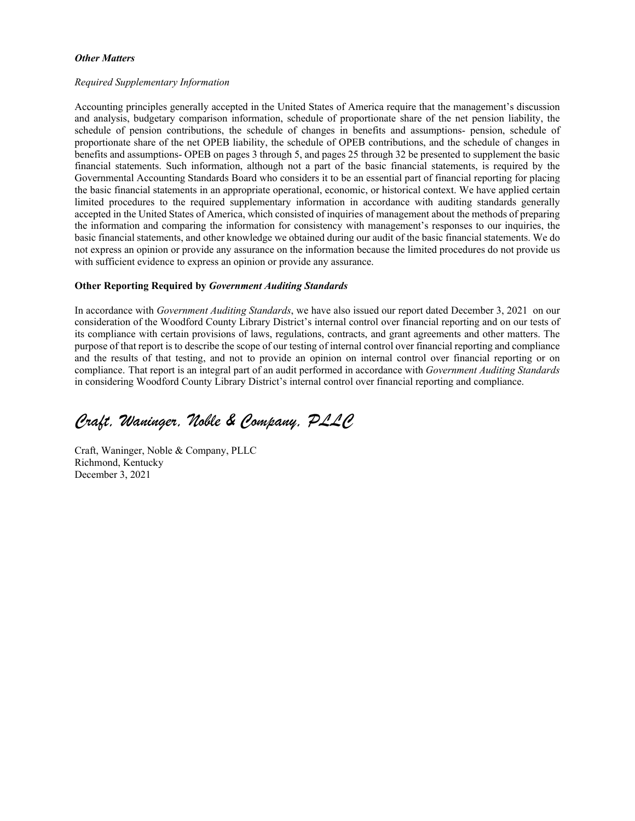#### *Other Matters*

#### *Required Supplementary Information*

Accounting principles generally accepted in the United States of America require that the management's discussion and analysis, budgetary comparison information, schedule of proportionate share of the net pension liability, the schedule of pension contributions, the schedule of changes in benefits and assumptions- pension, schedule of proportionate share of the net OPEB liability, the schedule of OPEB contributions, and the schedule of changes in benefits and assumptions- OPEB on pages 3 through 5, and pages 25 through 32 be presented to supplement the basic financial statements. Such information, although not a part of the basic financial statements, is required by the Governmental Accounting Standards Board who considers it to be an essential part of financial reporting for placing the basic financial statements in an appropriate operational, economic, or historical context. We have applied certain limited procedures to the required supplementary information in accordance with auditing standards generally accepted in the United States of America, which consisted of inquiries of management about the methods of preparing the information and comparing the information for consistency with management's responses to our inquiries, the basic financial statements, and other knowledge we obtained during our audit of the basic financial statements. We do not express an opinion or provide any assurance on the information because the limited procedures do not provide us with sufficient evidence to express an opinion or provide any assurance.

#### **Other Reporting Required by** *Government Auditing Standards*

In accordance with *Government Auditing Standards*, we have also issued our report dated December 3, 2021 on our consideration of the Woodford County Library District's internal control over financial reporting and on our tests of its compliance with certain provisions of laws, regulations, contracts, and grant agreements and other matters. The purpose of that report is to describe the scope of our testing of internal control over financial reporting and compliance and the results of that testing, and not to provide an opinion on internal control over financial reporting or on compliance. That report is an integral part of an audit performed in accordance with *Government Auditing Standards* in considering Woodford County Library District's internal control over financial reporting and compliance.

# *Craft, Waninger, Noble & Company, PLLC*

Craft, Waninger, Noble & Company, PLLC Richmond, Kentucky December 3, 2021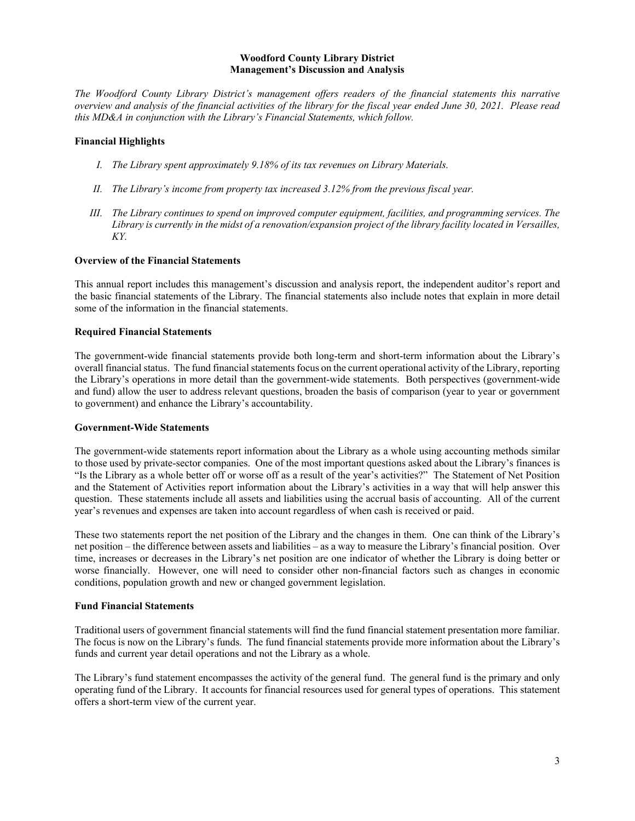#### **Woodford County Library District Management's Discussion and Analysis**

*The Woodford County Library District's management offers readers of the financial statements this narrative overview and analysis of the financial activities of the library for the fiscal year ended June 30, 2021. Please read this MD&A in conjunction with the Library's Financial Statements, which follow.* 

### **Financial Highlights**

- *I. The Library spent approximately 9.18% of its tax revenues on Library Materials.*
- *II. The Library's income from property tax increased 3.12% from the previous fiscal year.*
- *III. The Library continues to spend on improved computer equipment, facilities, and programming services. The Library is currently in the midst of a renovation/expansion project of the library facility located in Versailles, KY.*

#### **Overview of the Financial Statements**

This annual report includes this management's discussion and analysis report, the independent auditor's report and the basic financial statements of the Library. The financial statements also include notes that explain in more detail some of the information in the financial statements.

#### **Required Financial Statements**

The government-wide financial statements provide both long-term and short-term information about the Library's overall financial status. The fund financial statements focus on the current operational activity of the Library, reporting the Library's operations in more detail than the government-wide statements. Both perspectives (government-wide and fund) allow the user to address relevant questions, broaden the basis of comparison (year to year or government to government) and enhance the Library's accountability.

#### **Government-Wide Statements**

The government-wide statements report information about the Library as a whole using accounting methods similar to those used by private-sector companies. One of the most important questions asked about the Library's finances is "Is the Library as a whole better off or worse off as a result of the year's activities?" The Statement of Net Position and the Statement of Activities report information about the Library's activities in a way that will help answer this question. These statements include all assets and liabilities using the accrual basis of accounting. All of the current year's revenues and expenses are taken into account regardless of when cash is received or paid.

These two statements report the net position of the Library and the changes in them. One can think of the Library's net position – the difference between assets and liabilities – as a way to measure the Library's financial position. Over time, increases or decreases in the Library's net position are one indicator of whether the Library is doing better or worse financially. However, one will need to consider other non-financial factors such as changes in economic conditions, population growth and new or changed government legislation.

#### **Fund Financial Statements**

Traditional users of government financial statements will find the fund financial statement presentation more familiar. The focus is now on the Library's funds. The fund financial statements provide more information about the Library's funds and current year detail operations and not the Library as a whole.

The Library's fund statement encompasses the activity of the general fund. The general fund is the primary and only operating fund of the Library. It accounts for financial resources used for general types of operations. This statement offers a short-term view of the current year.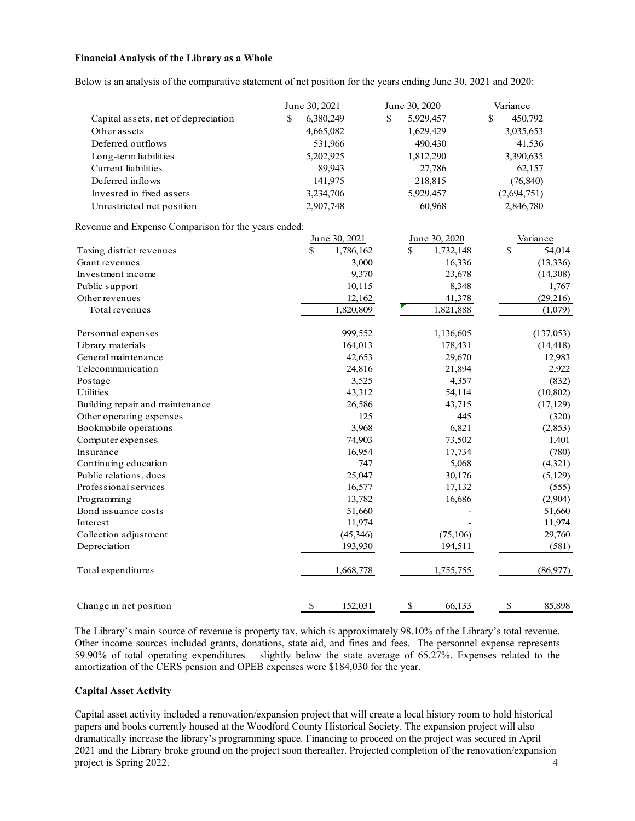#### **Financial Analysis of the Library as a Whole**

Below is an analysis of the comparative statement of net position for the years ending June 30, 2021 and 2020:

|                                                     | June 30, 2021 |           |               |           | June 30, 2020 |               |               | Variance    |  |  |
|-----------------------------------------------------|---------------|-----------|---------------|-----------|---------------|---------------|---------------|-------------|--|--|
| Capital assets, net of depreciation                 | $\mathbb{S}$  | 6,380,249 |               |           |               | 5,929,457     | \$<br>450,792 |             |  |  |
| Other assets                                        | 4,665,082     |           |               | 1,629,429 |               |               | 3,035,653     |             |  |  |
| Deferred outflows                                   |               |           | 531,966       | 490,430   |               |               | 41,536        |             |  |  |
| Long-term liabilities                               |               | 5,202,925 |               |           |               | 1,812,290     |               | 3,390,635   |  |  |
| Current liabilities                                 |               |           | 89,943        |           |               | 27,786        |               | 62,157      |  |  |
| Deferred inflows                                    |               |           | 141,975       |           |               | 218,815       |               | (76, 840)   |  |  |
| Invested in fixed assets                            |               | 3,234,706 |               |           |               | 5,929,457     |               | (2,694,751) |  |  |
| Unrestricted net position                           |               | 2,907,748 |               |           |               | 60,968        |               | 2,846,780   |  |  |
| Revenue and Expense Comparison for the years ended: |               |           |               |           |               |               |               |             |  |  |
|                                                     |               |           | June 30, 2021 |           |               | June 30, 2020 |               | Variance    |  |  |
| Taxing district revenues                            |               | \$        | 1,786,162     |           | \$            | 1,732,148     | \$            | 54,014      |  |  |
| Grant revenues                                      |               |           | 3,000         |           |               | 16,336        |               | (13, 336)   |  |  |
| Investment income                                   |               |           | 9,370         |           |               | 23,678        |               | (14,308)    |  |  |
| Public support                                      |               |           | 10,115        |           |               | 8,348         |               | 1,767       |  |  |
| Other revenues                                      |               |           | 12,162        |           |               | 41,378        |               | (29,216)    |  |  |
| Total revenues                                      |               |           | 1,820,809     |           |               | 1,821,888     |               | (1,079)     |  |  |
| Personnel expenses                                  |               |           | 999,552       |           |               | 1,136,605     |               | (137,053)   |  |  |
| Library materials                                   |               |           | 164,013       |           |               | 178,431       |               | (14, 418)   |  |  |
| General maintenance                                 |               |           | 42,653        |           |               | 29,670        |               | 12,983      |  |  |
| Telecommunication                                   |               |           | 24,816        |           |               | 21,894        |               | 2,922       |  |  |
| Postage                                             |               |           | 3,525         |           |               | 4,357         |               | (832)       |  |  |
| Utilities                                           |               |           | 43,312        |           |               | 54,114        |               | (10, 802)   |  |  |
| Building repair and maintenance                     |               |           | 26,586        |           |               | 43,715        |               | (17, 129)   |  |  |
| Other operating expenses                            |               |           | 125           |           |               | 445           |               | (320)       |  |  |
| Bookmobile operations                               |               |           | 3,968         |           |               | 6,821         |               | (2,853)     |  |  |
| Computer expenses                                   |               |           | 74,903        |           |               | 73,502        |               | 1,401       |  |  |
| Insurance                                           |               |           | 16,954        |           |               | 17,734        |               | (780)       |  |  |
| Continuing education                                |               |           | 747           |           |               | 5,068         |               | (4,321)     |  |  |
| Public relations, dues                              |               |           | 25,047        |           |               | 30,176        |               | (5, 129)    |  |  |
| Professional services                               |               |           | 16,577        |           |               | 17,132        |               | (555)       |  |  |
| Programming                                         |               |           | 13,782        |           |               | 16,686        |               | (2,904)     |  |  |
| Bond issuance costs                                 |               |           | 51,660        |           |               |               |               | 51,660      |  |  |
| Interest                                            |               |           | 11,974        |           |               |               |               | 11,974      |  |  |
| Collection adjustment                               |               |           | (45, 346)     |           |               | (75,106)      |               | 29,760      |  |  |
| Depreciation                                        |               |           | 193,930       |           |               | 194,511       |               | (581)       |  |  |
| Total expenditures                                  |               |           | 1,668,778     |           |               | 1,755,755     |               | (86,977)    |  |  |
| Change in net position                              |               | \$        | 152,031       |           | \$            | 66,133        | \$            | 85,898      |  |  |
|                                                     |               |           |               |           |               |               |               |             |  |  |

The Library's main source of revenue is property tax, which is approximately 98.10% of the Library's total revenue. Other income sources included grants, donations, state aid, and fines and fees. The personnel expense represents 59.90% of total operating expenditures – slightly below the state average of 65.27%. Expenses related to the amortization of the CERS pension and OPEB expenses were \$184,030 for the year.

#### **Capital Asset Activity**

Capital asset activity included a renovation/expansion project that will create a local history room to hold historical papers and books currently housed at the Woodford County Historical Society. The expansion project will also dramatically increase the library's programming space. Financing to proceed on the project was secured in April 2021 and the Library broke ground on the project soon thereafter. Projected completion of the renovation/expansion project is Spring 2022. 4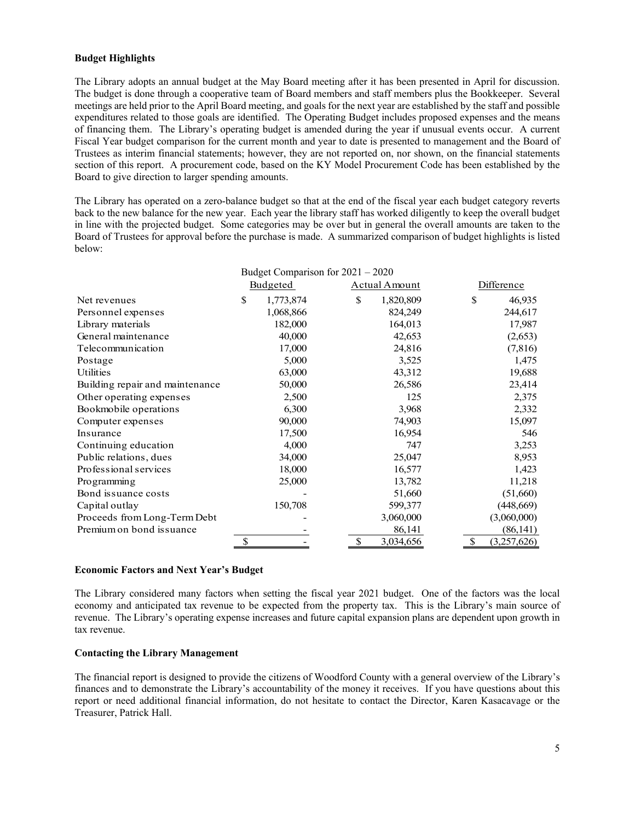#### **Budget Highlights**

The Library adopts an annual budget at the May Board meeting after it has been presented in April for discussion. The budget is done through a cooperative team of Board members and staff members plus the Bookkeeper. Several meetings are held prior to the April Board meeting, and goals for the next year are established by the staff and possible expenditures related to those goals are identified. The Operating Budget includes proposed expenses and the means of financing them. The Library's operating budget is amended during the year if unusual events occur. A current Fiscal Year budget comparison for the current month and year to date is presented to management and the Board of Trustees as interim financial statements; however, they are not reported on, nor shown, on the financial statements section of this report. A procurement code, based on the KY Model Procurement Code has been established by the Board to give direction to larger spending amounts.

The Library has operated on a zero-balance budget so that at the end of the fiscal year each budget category reverts back to the new balance for the new year. Each year the library staff has worked diligently to keep the overall budget in line with the projected budget. Some categories may be over but in general the overall amounts are taken to the Board of Trustees for approval before the purchase is made. A summarized comparison of budget highlights is listed below:

|                                 | Budget Comparison for $2021 - 2020$ |                 |     |               |           |  |                   |
|---------------------------------|-------------------------------------|-----------------|-----|---------------|-----------|--|-------------------|
|                                 |                                     | <b>Budgeted</b> |     | Actual Amount |           |  | <b>Difference</b> |
| Net revenues                    | <sup>\$</sup>                       | 1,773,874       | \$. |               | 1,820,809 |  | \$<br>46,935      |
| Personnel expenses              |                                     | 1,068,866       |     |               | 824,249   |  | 244,617           |
| Library materials               |                                     | 182,000         |     |               | 164,013   |  | 17,987            |
| General maintenance             |                                     | 40,000          |     |               | 42,653    |  | (2,653)           |
| Telecommunication               |                                     | 17,000          |     |               | 24,816    |  | (7,816)           |
| Postage                         |                                     | 5,000           |     |               | 3,525     |  | 1,475             |
| Utilities                       |                                     | 63,000          |     |               | 43,312    |  | 19,688            |
| Building repair and maintenance |                                     | 50,000          |     |               | 26,586    |  | 23,414            |
| Other operating expenses        |                                     | 2,500           |     |               | 125       |  | 2,375             |
| Bookmobile operations           |                                     | 6,300           |     |               | 3,968     |  | 2,332             |
| Computer expenses               |                                     | 90,000          |     |               | 74,903    |  | 15,097            |
| Insurance                       |                                     | 17,500          |     |               | 16,954    |  | 546               |
| Continuing education            |                                     | 4,000           |     |               | 747       |  | 3,253             |
| Public relations, dues          |                                     | 34,000          |     |               | 25,047    |  | 8,953             |
| Professional services           |                                     | 18,000          |     |               | 16,577    |  | 1,423             |
| Programming                     |                                     | 25,000          |     |               | 13,782    |  | 11,218            |
| Bond issuance costs             |                                     |                 |     |               | 51,660    |  | (51,660)          |
| Capital outlay                  |                                     | 150,708         |     |               | 599,377   |  | (448, 669)        |
| Proceeds from Long-Term Debt    |                                     |                 |     |               | 3,060,000 |  | (3,060,000)       |
| Premium on bond issuance        |                                     |                 |     |               | 86,141    |  | (86, 141)         |
|                                 |                                     |                 |     |               | 3,034,656 |  | (3,257,626)       |

#### **Economic Factors and Next Year's Budget**

The Library considered many factors when setting the fiscal year 2021 budget. One of the factors was the local economy and anticipated tax revenue to be expected from the property tax. This is the Library's main source of revenue. The Library's operating expense increases and future capital expansion plans are dependent upon growth in tax revenue.

#### **Contacting the Library Management**

The financial report is designed to provide the citizens of Woodford County with a general overview of the Library's finances and to demonstrate the Library's accountability of the money it receives. If you have questions about this report or need additional financial information, do not hesitate to contact the Director, Karen Kasacavage or the Treasurer, Patrick Hall.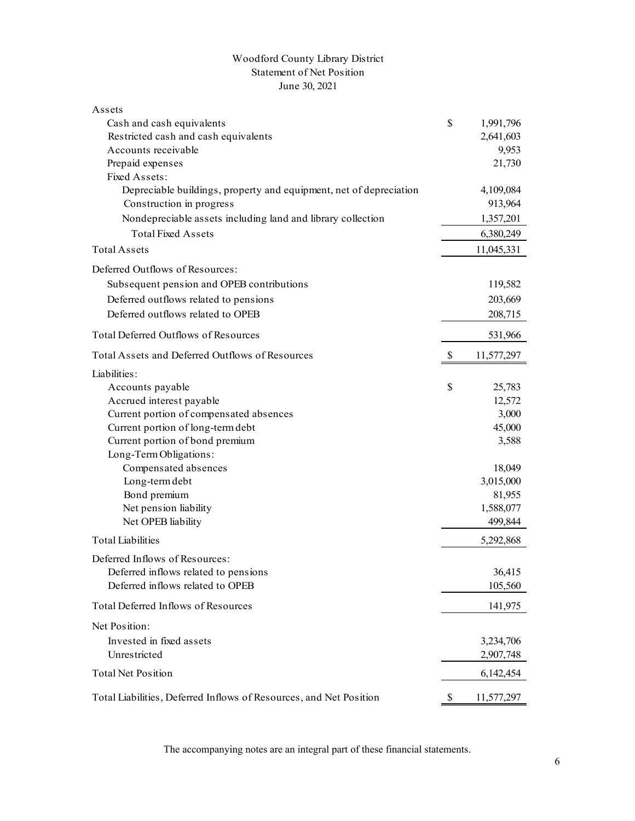## Woodford County Library District Statement of Net Position June 30, 2021

| Assets                                                             |                      |
|--------------------------------------------------------------------|----------------------|
| Cash and cash equivalents                                          | \$<br>1,991,796      |
| Restricted cash and cash equivalents                               | 2,641,603            |
| Accounts receivable                                                | 9,953                |
| Prepaid expenses                                                   | 21,730               |
| Fixed Assets:                                                      |                      |
| Depreciable buildings, property and equipment, net of depreciation | 4,109,084            |
| Construction in progress                                           | 913,964              |
| Nondepreciable assets including land and library collection        | 1,357,201            |
| <b>Total Fixed Assets</b>                                          | 6,380,249            |
| <b>Total Assets</b>                                                | 11,045,331           |
| Deferred Outflows of Resources:                                    |                      |
| Subsequent pension and OPEB contributions                          | 119,582              |
| Deferred outflows related to pensions                              | 203,669              |
| Deferred outflows related to OPEB                                  | 208,715              |
|                                                                    |                      |
| Total Deferred Outflows of Resources                               | 531,966              |
| Total Assets and Deferred Outflows of Resources                    | \$<br>11,577,297     |
| Liabilities:                                                       |                      |
| Accounts payable                                                   | \$<br>25,783         |
| Accrued interest payable                                           | 12,572               |
| Current portion of compensated absences                            | 3,000                |
| Current portion of long-term debt                                  | 45,000               |
| Current portion of bond premium                                    | 3,588                |
| Long-Term Obligations:                                             |                      |
| Compensated absences                                               | 18,049               |
| Long-term debt                                                     | 3,015,000            |
| Bond premium                                                       | 81,955               |
| Net pension liability<br>Net OPEB liability                        | 1,588,077            |
| <b>Total Liabilities</b>                                           | 499,844<br>5,292,868 |
|                                                                    |                      |
| Deferred Inflows of Resources:                                     |                      |
| Deferred inflows related to pensions                               | 36,415               |
| Deferred inflows related to OPEB                                   | 105,560              |
| <b>Total Deferred Inflows of Resources</b>                         | 141,975              |
| Net Position:                                                      |                      |
| Invested in fixed assets                                           | 3,234,706            |
| Unrestricted                                                       | 2,907,748            |
| <b>Total Net Position</b>                                          | 6, 142, 454          |
| Total Liabilities, Deferred Inflows of Resources, and Net Position | \$<br>11,577,297     |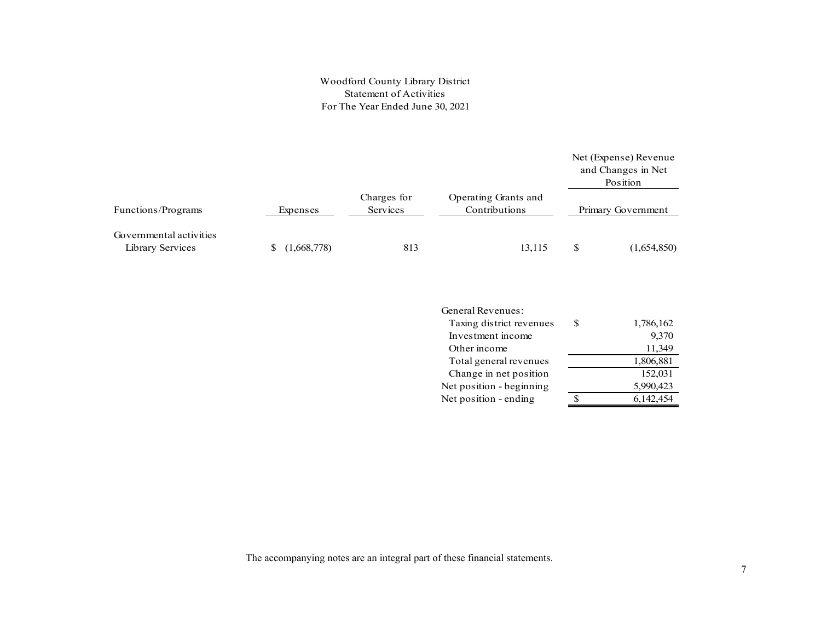## Woodford County Library District Statement of Activities For The Year Ended June 30, 2021

|                                             |             |                         |                                       | Net (Expense) Revenue<br>and Changes in Net<br>Position |
|---------------------------------------------|-------------|-------------------------|---------------------------------------|---------------------------------------------------------|
| Functions/Programs                          | Expenses    | Charges for<br>Services | Operating Grants and<br>Contributions | Primary Government                                      |
| Governmental activities<br>Library Services | (1,668,778) | 813                     | 13,115                                | (1,654,850)                                             |

| General Revenues:        |   |           |
|--------------------------|---|-----------|
| Taxing district revenues | S | 1,786,162 |
| Investment income        |   | 9,370     |
| Other income             |   | 11,349    |
| Total general revenues   |   | 1,806,881 |
| Change in net position   |   | 152,031   |
| Net position - beginning |   | 5,990,423 |
| Net position - ending    |   | 6,142,454 |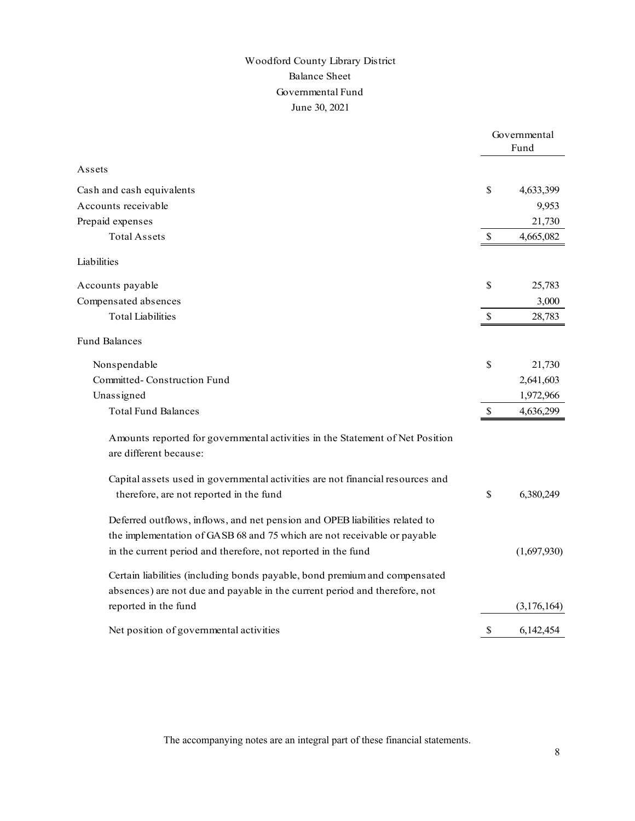## Woodford County Library District Balance Sheet Governmental Fund June 30, 2021

|                                                                                                                           |              | Governmental<br>Fund |
|---------------------------------------------------------------------------------------------------------------------------|--------------|----------------------|
| Assets                                                                                                                    |              |                      |
| Cash and cash equivalents                                                                                                 | \$           | 4,633,399            |
| Accounts receivable                                                                                                       |              | 9,953                |
| Prepaid expenses                                                                                                          |              | 21,730               |
| <b>Total Assets</b>                                                                                                       | $\mathbb{S}$ | 4,665,082            |
| Liabilities                                                                                                               |              |                      |
| Accounts payable                                                                                                          | \$           | 25,783               |
| Compensated absences                                                                                                      |              | 3,000                |
| <b>Total Liabilities</b>                                                                                                  | \$           | 28,783               |
| <b>Fund Balances</b>                                                                                                      |              |                      |
| Nonspendable                                                                                                              | \$           | 21,730               |
| Committed-Construction Fund                                                                                               |              | 2,641,603            |
| Unassigned                                                                                                                |              | 1,972,966            |
| <b>Total Fund Balances</b>                                                                                                | \$           | 4,636,299            |
| Amounts reported for governmental activities in the Statement of Net Position<br>are different because:                   |              |                      |
| Capital assets used in governmental activities are not financial resources and<br>therefore, are not reported in the fund | \$           | 6,380,249            |
| Deferred outflows, inflows, and net pension and OPEB liabilities related to                                               |              |                      |
| the implementation of GASB 68 and 75 which are not receivable or payable                                                  |              |                      |
| in the current period and therefore, not reported in the fund                                                             |              | (1,697,930)          |
| Certain liabilities (including bonds payable, bond premium and compensated                                                |              |                      |
| absences) are not due and payable in the current period and therefore, not                                                |              |                      |
| reported in the fund                                                                                                      |              | (3,176,164)          |
| Net position of governmental activities                                                                                   | \$           | 6,142,454            |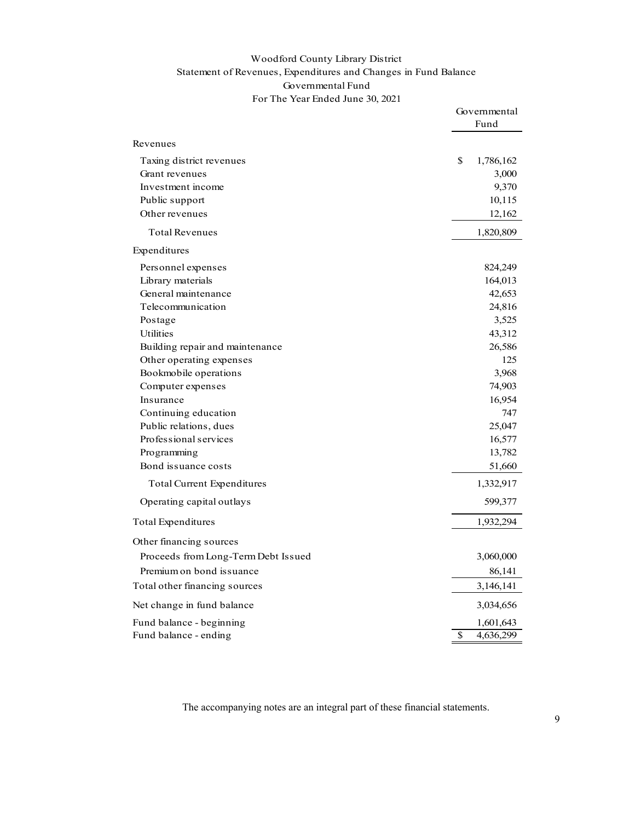## Woodford County Library District Statement of Revenues, Expenditures and Changes in Fund Balance Governmental Fund For The Year Ended June 30, 2021

|                                                   | Governmental<br>Fund                      |
|---------------------------------------------------|-------------------------------------------|
| Revenues                                          |                                           |
| Taxing district revenues                          | S.<br>1,786,162                           |
| Grant revenues                                    | 3,000                                     |
| Investment income                                 | 9,370                                     |
| Public support                                    | 10,115                                    |
| Other revenues                                    | 12,162                                    |
| <b>Total Revenues</b>                             | 1,820,809                                 |
| Expenditures                                      |                                           |
| Personnel expenses                                | 824,249                                   |
| Library materials                                 | 164,013                                   |
| General maintenance                               | 42,653                                    |
| Telecommunication                                 | 24,816                                    |
| Postage                                           | 3,525                                     |
| Utilities                                         | 43,312                                    |
| Building repair and maintenance                   | 26,586                                    |
| Other operating expenses                          | 125                                       |
| Bookmobile operations                             | 3,968                                     |
| Computer expenses                                 | 74,903                                    |
| Insurance                                         | 16,954                                    |
| Continuing education                              | 747                                       |
| Public relations, dues                            | 25,047                                    |
| Professional services                             | 16,577                                    |
| Programming                                       | 13,782                                    |
| Bond issuance costs                               | 51,660                                    |
| Total Current Expenditures                        | 1,332,917                                 |
| Operating capital outlays                         | 599,377                                   |
| <b>Total Expenditures</b>                         | 1,932,294                                 |
| Other financing sources                           |                                           |
| Proceeds from Long-Term Debt Issued               | 3,060,000                                 |
| Premium on bond issuance                          | 86,141                                    |
| Total other financing sources                     | 3,146,141                                 |
| Net change in fund balance                        | 3,034,656                                 |
|                                                   |                                           |
| Fund balance - beginning<br>Fund balance - ending | 1,601,643<br>\$<br>$\overline{4,636,299}$ |
|                                                   |                                           |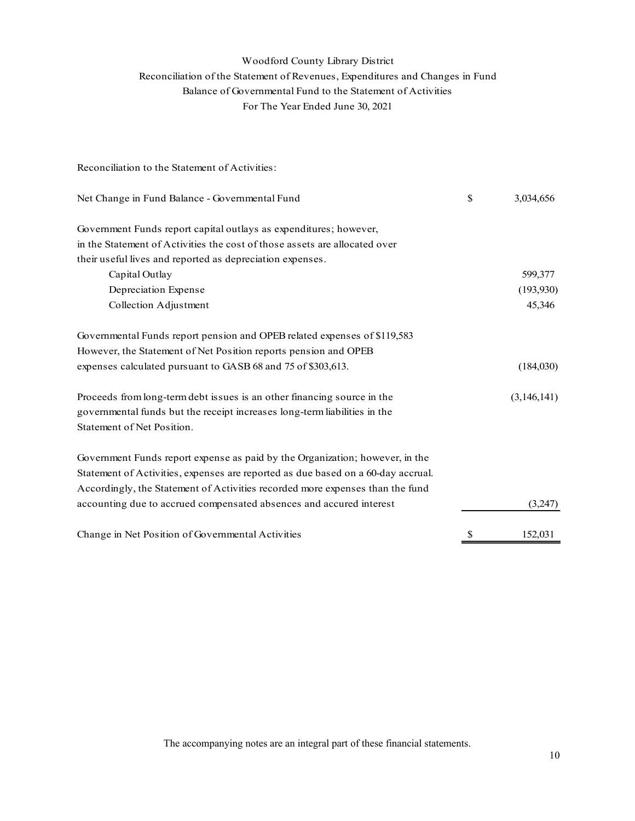## Woodford County Library District Reconciliation of the Statement of Revenues, Expenditures and Changes in Fund Balance of Governmental Fund to the Statement of Activities For The Year Ended June 30, 2021

| Reconciliation to the Statement of Activities:                                   |                 |
|----------------------------------------------------------------------------------|-----------------|
| Net Change in Fund Balance - Governmental Fund                                   | \$<br>3,034,656 |
| Government Funds report capital outlays as expenditures; however,                |                 |
| in the Statement of Activities the cost of those assets are allocated over       |                 |
| their useful lives and reported as depreciation expenses.                        |                 |
| Capital Outlay                                                                   | 599,377         |
| Depreciation Expense                                                             | (193, 930)      |
| Collection Adjustment                                                            | 45,346          |
| Governmental Funds report pension and OPEB related expenses of \$119,583         |                 |
| However, the Statement of Net Position reports pension and OPEB                  |                 |
| expenses calculated pursuant to GASB 68 and 75 of \$303,613.                     | (184,030)       |
| Proceeds from long-term debt issues is an other financing source in the          | (3,146,141)     |
| governmental funds but the receipt increases long-term liabilities in the        |                 |
| Statement of Net Position.                                                       |                 |
| Government Funds report expense as paid by the Organization; however, in the     |                 |
| Statement of Activities, expenses are reported as due based on a 60-day accrual. |                 |
| Accordingly, the Statement of Activities recorded more expenses than the fund    |                 |
| accounting due to accrued compensated absences and accured interest              | (3,247)         |
| Change in Net Position of Governmental Activities                                | 152,031         |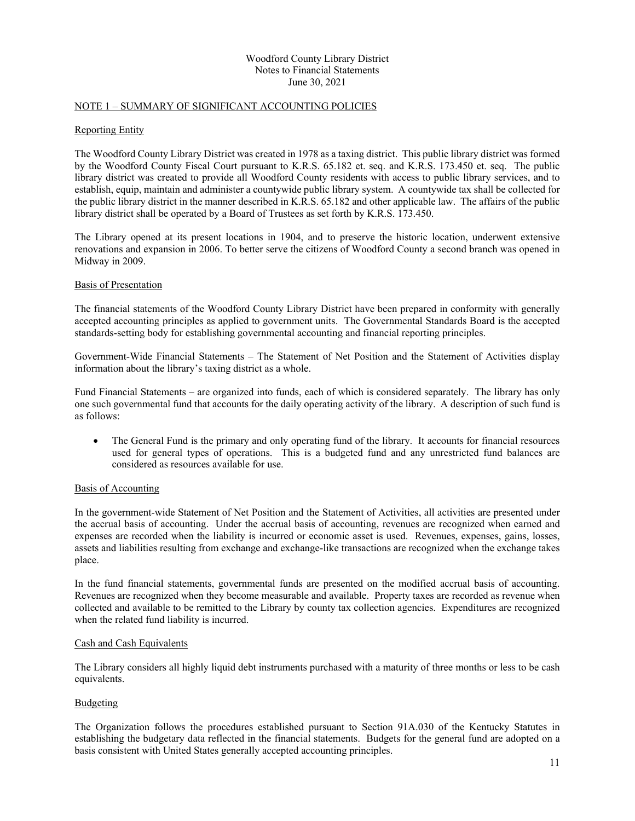#### NOTE 1 – SUMMARY OF SIGNIFICANT ACCOUNTING POLICIES

#### Reporting Entity

The Woodford County Library District was created in 1978 as a taxing district. This public library district was formed by the Woodford County Fiscal Court pursuant to K.R.S. 65.182 et. seq. and K.R.S. 173.450 et. seq. The public library district was created to provide all Woodford County residents with access to public library services, and to establish, equip, maintain and administer a countywide public library system. A countywide tax shall be collected for the public library district in the manner described in K.R.S. 65.182 and other applicable law. The affairs of the public library district shall be operated by a Board of Trustees as set forth by K.R.S. 173.450.

The Library opened at its present locations in 1904, and to preserve the historic location, underwent extensive renovations and expansion in 2006. To better serve the citizens of Woodford County a second branch was opened in Midway in 2009.

## Basis of Presentation

The financial statements of the Woodford County Library District have been prepared in conformity with generally accepted accounting principles as applied to government units. The Governmental Standards Board is the accepted standards-setting body for establishing governmental accounting and financial reporting principles.

Government-Wide Financial Statements – The Statement of Net Position and the Statement of Activities display information about the library's taxing district as a whole.

Fund Financial Statements – are organized into funds, each of which is considered separately. The library has only one such governmental fund that accounts for the daily operating activity of the library. A description of such fund is as follows:

 The General Fund is the primary and only operating fund of the library. It accounts for financial resources used for general types of operations. This is a budgeted fund and any unrestricted fund balances are considered as resources available for use.

#### Basis of Accounting

In the government-wide Statement of Net Position and the Statement of Activities, all activities are presented under the accrual basis of accounting. Under the accrual basis of accounting, revenues are recognized when earned and expenses are recorded when the liability is incurred or economic asset is used. Revenues, expenses, gains, losses, assets and liabilities resulting from exchange and exchange-like transactions are recognized when the exchange takes place.

In the fund financial statements, governmental funds are presented on the modified accrual basis of accounting. Revenues are recognized when they become measurable and available. Property taxes are recorded as revenue when collected and available to be remitted to the Library by county tax collection agencies. Expenditures are recognized when the related fund liability is incurred.

## Cash and Cash Equivalents

The Library considers all highly liquid debt instruments purchased with a maturity of three months or less to be cash equivalents.

#### Budgeting

The Organization follows the procedures established pursuant to Section 91A.030 of the Kentucky Statutes in establishing the budgetary data reflected in the financial statements. Budgets for the general fund are adopted on a basis consistent with United States generally accepted accounting principles.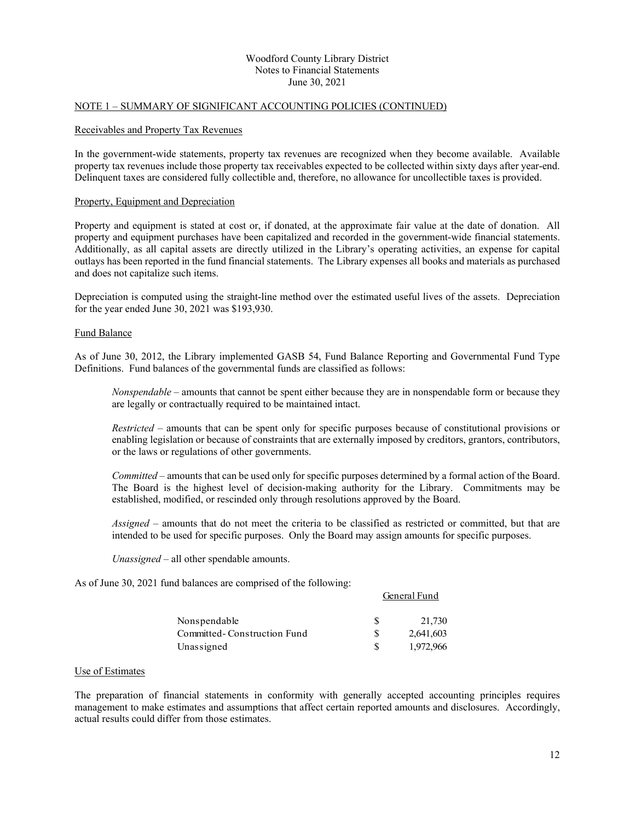#### NOTE 1 – SUMMARY OF SIGNIFICANT ACCOUNTING POLICIES (CONTINUED)

#### Receivables and Property Tax Revenues

In the government-wide statements, property tax revenues are recognized when they become available. Available property tax revenues include those property tax receivables expected to be collected within sixty days after year-end. Delinquent taxes are considered fully collectible and, therefore, no allowance for uncollectible taxes is provided.

#### Property, Equipment and Depreciation

Property and equipment is stated at cost or, if donated, at the approximate fair value at the date of donation. All property and equipment purchases have been capitalized and recorded in the government-wide financial statements. Additionally, as all capital assets are directly utilized in the Library's operating activities, an expense for capital outlays has been reported in the fund financial statements. The Library expenses all books and materials as purchased and does not capitalize such items.

Depreciation is computed using the straight-line method over the estimated useful lives of the assets. Depreciation for the year ended June 30, 2021 was \$193,930.

#### Fund Balance

As of June 30, 2012, the Library implemented GASB 54, Fund Balance Reporting and Governmental Fund Type Definitions. Fund balances of the governmental funds are classified as follows:

*Nonspendable* – amounts that cannot be spent either because they are in nonspendable form or because they are legally or contractually required to be maintained intact.

*Restricted* – amounts that can be spent only for specific purposes because of constitutional provisions or enabling legislation or because of constraints that are externally imposed by creditors, grantors, contributors, or the laws or regulations of other governments.

*Committed* – amounts that can be used only for specific purposes determined by a formal action of the Board. The Board is the highest level of decision-making authority for the Library. Commitments may be established, modified, or rescinded only through resolutions approved by the Board.

*Assigned* – amounts that do not meet the criteria to be classified as restricted or committed, but that are intended to be used for specific purposes. Only the Board may assign amounts for specific purposes.

General Fund

*Unassigned* – all other spendable amounts.

As of June 30, 2021 fund balances are comprised of the following:

| Nonspendable                | К | 21.730    |
|-----------------------------|---|-----------|
| Committed-Construction Fund |   | 2.641.603 |
| Unassigned                  |   | 1.972.966 |

#### Use of Estimates

The preparation of financial statements in conformity with generally accepted accounting principles requires management to make estimates and assumptions that affect certain reported amounts and disclosures. Accordingly, actual results could differ from those estimates.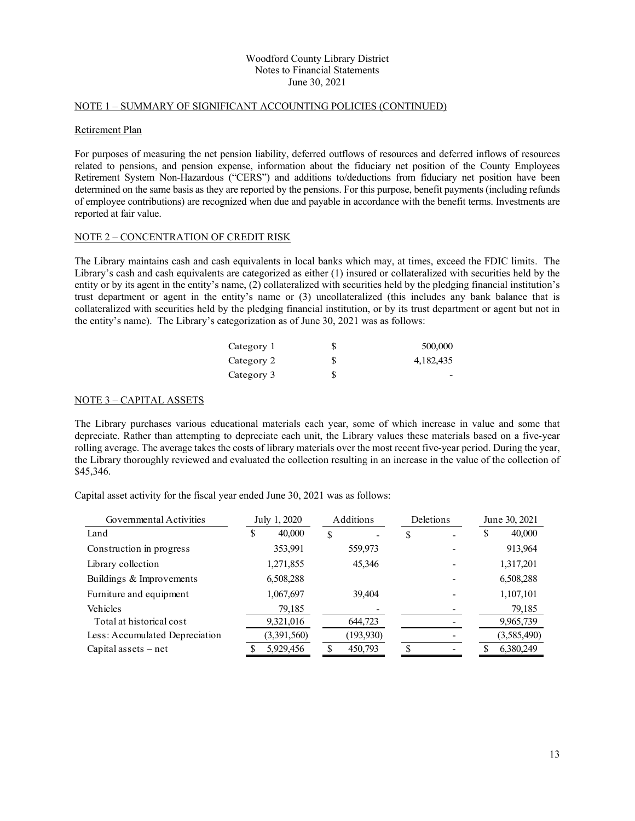#### NOTE 1 – SUMMARY OF SIGNIFICANT ACCOUNTING POLICIES (CONTINUED)

#### Retirement Plan

For purposes of measuring the net pension liability, deferred outflows of resources and deferred inflows of resources related to pensions, and pension expense, information about the fiduciary net position of the County Employees Retirement System Non-Hazardous ("CERS") and additions to/deductions from fiduciary net position have been determined on the same basis as they are reported by the pensions. For this purpose, benefit payments (including refunds of employee contributions) are recognized when due and payable in accordance with the benefit terms. Investments are reported at fair value.

#### NOTE 2 – CONCENTRATION OF CREDIT RISK

The Library maintains cash and cash equivalents in local banks which may, at times, exceed the FDIC limits. The Library's cash and cash equivalents are categorized as either (1) insured or collateralized with securities held by the entity or by its agent in the entity's name, (2) collateralized with securities held by the pledging financial institution's trust department or agent in the entity's name or (3) uncollateralized (this includes any bank balance that is collateralized with securities held by the pledging financial institution, or by its trust department or agent but not in the entity's name). The Library's categorization as of June 30, 2021 was as follows:

| Category 1 | S | 500,000                  |
|------------|---|--------------------------|
| Category 2 |   | 4,182,435                |
| Category 3 |   | $\overline{\phantom{0}}$ |

#### NOTE 3 – CAPITAL ASSETS

The Library purchases various educational materials each year, some of which increase in value and some that depreciate. Rather than attempting to depreciate each unit, the Library values these materials based on a five-year rolling average. The average takes the costs of library materials over the most recent five-year period. During the year, the Library thoroughly reviewed and evaluated the collection resulting in an increase in the value of the collection of \$45,346.

Capital asset activity for the fiscal year ended June 30, 2021 was as follows:

| Governmental Activities        | July 1, 2020 |             | Additions |            |   |  | Deletions |             | June 30, 2021 |  |
|--------------------------------|--------------|-------------|-----------|------------|---|--|-----------|-------------|---------------|--|
| Land                           | J            | 40,000      | \$        |            | S |  | D         | 40,000      |               |  |
| Construction in progress       |              | 353,991     |           | 559,973    |   |  |           | 913,964     |               |  |
| Library collection             |              | 1,271,855   |           | 45,346     |   |  |           | 1,317,201   |               |  |
| Buildings & Improvements       |              | 6,508,288   |           |            |   |  |           | 6,508,288   |               |  |
| Furniture and equipment        |              | 1,067,697   |           | 39,404     |   |  |           | 1,107,101   |               |  |
| <b>Vehicles</b>                |              | 79,185      |           |            |   |  |           | 79,185      |               |  |
| Total at historical cost       |              | 9,321,016   |           | 644,723    |   |  |           | 9,965,739   |               |  |
| Less: Accumulated Depreciation |              | (3,391,560) |           | (193, 930) |   |  |           | (3,585,490) |               |  |
| Capital assets $-$ net         |              | 5,929,456   |           | 450,793    |   |  |           | 6,380,249   |               |  |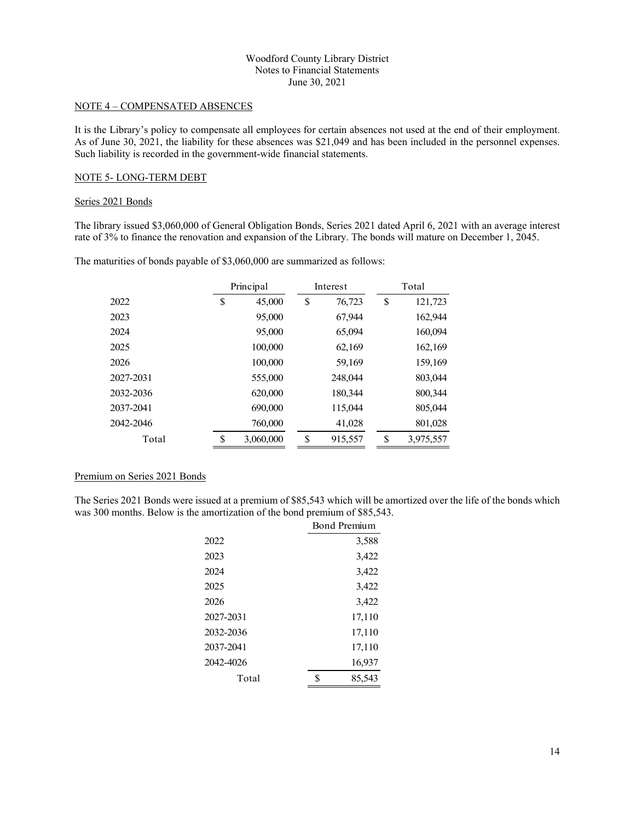#### NOTE 4 – COMPENSATED ABSENCES

It is the Library's policy to compensate all employees for certain absences not used at the end of their employment. As of June 30, 2021, the liability for these absences was \$21,049 and has been included in the personnel expenses. Such liability is recorded in the government-wide financial statements.

#### NOTE 5- LONG-TERM DEBT

#### Series 2021 Bonds

The library issued \$3,060,000 of General Obligation Bonds, Series 2021 dated April 6, 2021 with an average interest rate of 3% to finance the renovation and expansion of the Library. The bonds will mature on December 1, 2045.

The maturities of bonds payable of \$3,060,000 are summarized as follows:

|           | Principal |           | Interest |         | Total           |  |
|-----------|-----------|-----------|----------|---------|-----------------|--|
| 2022      | \$        | 45,000    | \$       | 76,723  | \$<br>121,723   |  |
| 2023      |           | 95,000    |          | 67,944  | 162,944         |  |
| 2024      |           | 95,000    |          | 65,094  | 160,094         |  |
| 2025      |           | 100,000   |          | 62,169  | 162,169         |  |
| 2026      |           | 100,000   |          | 59,169  | 159,169         |  |
| 2027-2031 |           | 555,000   |          | 248,044 | 803,044         |  |
| 2032-2036 |           | 620,000   |          | 180,344 | 800,344         |  |
| 2037-2041 |           | 690,000   |          | 115,044 | 805,044         |  |
| 2042-2046 |           | 760,000   |          | 41,028  | 801,028         |  |
| Total     | \$        | 3,060,000 | S        | 915,557 | \$<br>3,975,557 |  |

#### Premium on Series 2021 Bonds

The Series 2021 Bonds were issued at a premium of \$85,543 which will be amortized over the life of the bonds which was 300 months. Below is the amortization of the bond premium of \$85,543.

|           | Bond Premium |  |  |
|-----------|--------------|--|--|
| 2022      | 3,588        |  |  |
| 2023      | 3,422        |  |  |
| 2024      | 3,422        |  |  |
| 2025      | 3,422        |  |  |
| 2026      | 3,422        |  |  |
| 2027-2031 | 17,110       |  |  |
| 2032-2036 | 17,110       |  |  |
| 2037-2041 | 17,110       |  |  |
| 2042-4026 | 16,937       |  |  |
| Total     | \$<br>85.543 |  |  |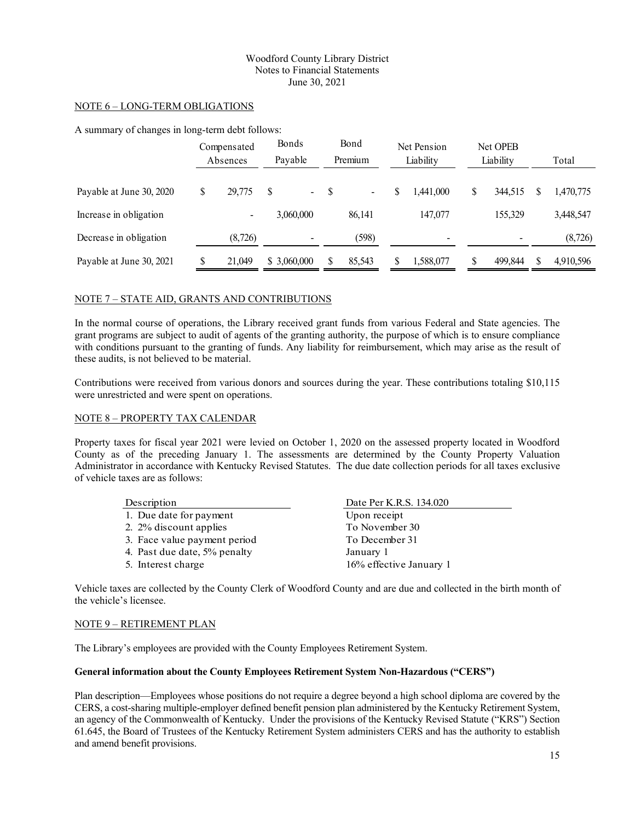#### NOTE 6 – LONG-TERM OBLIGATIONS

A summary of changes in long-term debt follows:

|                          | Compensated<br>Absences  | Bonds<br>Payable |                  |    | Bond<br>Premium | Net Pension<br>Liability | Net OPEB<br>Liability | Total     |
|--------------------------|--------------------------|------------------|------------------|----|-----------------|--------------------------|-----------------------|-----------|
| Payable at June 30, 2020 | \$<br>29,775             | <sup>\$</sup>    | $\sim$ 100 $\pm$ | -S | $\blacksquare$  | \$<br>1,441,000          | \$<br>344,515         | 1,470,775 |
| Increase in obligation   | $\overline{\phantom{a}}$ | 3,060,000        |                  |    | 86,141          | 147,077                  | 155,329               | 3,448,547 |
| Decrease in obligation   | (8,726)                  |                  |                  |    | (598)           | $\overline{\phantom{0}}$ |                       | (8,726)   |
| Payable at June 30, 2021 | 21,049                   | \$3,060,000      |                  |    | 85,543          | 1,588,077                | 499,844               | 4,910,596 |

#### NOTE 7 – STATE AID, GRANTS AND CONTRIBUTIONS

In the normal course of operations, the Library received grant funds from various Federal and State agencies. The grant programs are subject to audit of agents of the granting authority, the purpose of which is to ensure compliance with conditions pursuant to the granting of funds. Any liability for reimbursement, which may arise as the result of these audits, is not believed to be material.

Contributions were received from various donors and sources during the year. These contributions totaling \$10,115 were unrestricted and were spent on operations.

#### NOTE 8 – PROPERTY TAX CALENDAR

Property taxes for fiscal year 2021 were levied on October 1, 2020 on the assessed property located in Woodford County as of the preceding January 1. The assessments are determined by the County Property Valuation Administrator in accordance with Kentucky Revised Statutes. The due date collection periods for all taxes exclusive of vehicle taxes are as follows:

- 1. Due date for payment Upon receipt
- 2. 2% discount applies To November 30
- 3. Face value payment period To December 31
- 4. Past due date, 5% penalty January 1
- 

Description Date Per K.R.S. 134.020 5. Interest charge 16% effective January 1

Vehicle taxes are collected by the County Clerk of Woodford County and are due and collected in the birth month of the vehicle's licensee.

#### NOTE 9 – RETIREMENT PLAN

The Library's employees are provided with the County Employees Retirement System.

#### **General information about the County Employees Retirement System Non-Hazardous ("CERS")**

Plan description—Employees whose positions do not require a degree beyond a high school diploma are covered by the CERS, a cost-sharing multiple-employer defined benefit pension plan administered by the Kentucky Retirement System, an agency of the Commonwealth of Kentucky. Under the provisions of the Kentucky Revised Statute ("KRS") Section 61.645, the Board of Trustees of the Kentucky Retirement System administers CERS and has the authority to establish and amend benefit provisions.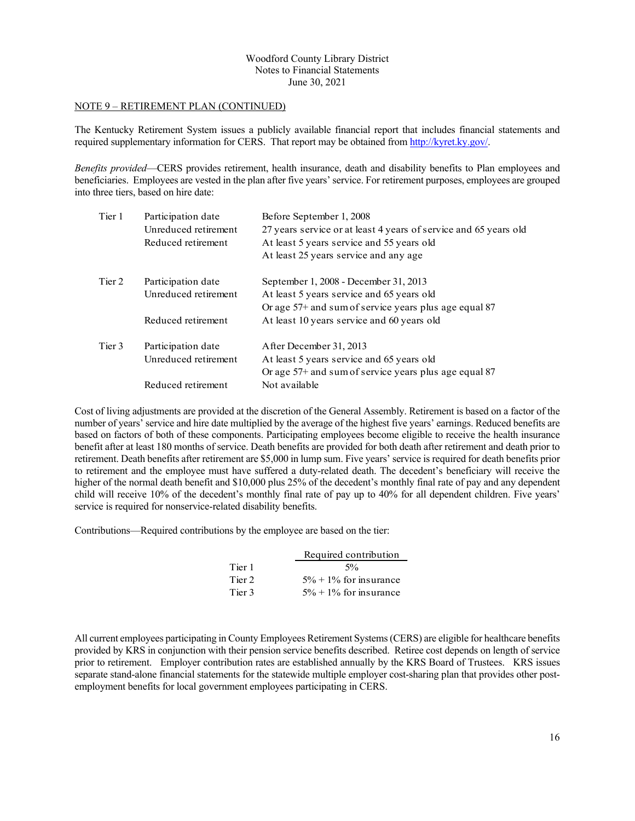#### NOTE 9 – RETIREMENT PLAN (CONTINUED)

The Kentucky Retirement System issues a publicly available financial report that includes financial statements and required supplementary information for CERS. That report may be obtained from http://kyret.ky.gov/.

*Benefits provided*—CERS provides retirement, health insurance, death and disability benefits to Plan employees and beneficiaries. Employees are vested in the plan after five years' service. For retirement purposes, employees are grouped into three tiers, based on hire date:

| Tier 1 | Participation date   | Before September 1, 2008                                         |
|--------|----------------------|------------------------------------------------------------------|
|        | Unreduced retirement | 27 years service or at least 4 years of service and 65 years old |
|        | Reduced retirement   | At least 5 years service and 55 years old                        |
|        |                      | At least 25 years service and any age                            |
| Tier 2 | Participation date   | September 1, 2008 - December 31, 2013                            |
|        | Unreduced retirement | At least 5 years service and 65 years old                        |
|        |                      | Or age $57+$ and sum of service years plus age equal 87          |
|        | Reduced retirement   | At least 10 years service and 60 years old                       |
| Tier 3 | Participation date   | After December 31, 2013                                          |
|        | Unreduced retirement | At least 5 years service and 65 years old                        |
|        |                      | Or age 57+ and sum of service years plus age equal 87            |
|        | Reduced retirement   | Not available                                                    |

Cost of living adjustments are provided at the discretion of the General Assembly. Retirement is based on a factor of the number of years' service and hire date multiplied by the average of the highest five years' earnings. Reduced benefits are based on factors of both of these components. Participating employees become eligible to receive the health insurance benefit after at least 180 months of service. Death benefits are provided for both death after retirement and death prior to retirement. Death benefits after retirement are \$5,000 in lump sum. Five years' service is required for death benefits prior to retirement and the employee must have suffered a duty-related death. The decedent's beneficiary will receive the higher of the normal death benefit and \$10,000 plus 25% of the decedent's monthly final rate of pay and any dependent child will receive 10% of the decedent's monthly final rate of pay up to 40% for all dependent children. Five years' service is required for nonservice-related disability benefits.

Contributions—Required contributions by the employee are based on the tier:

|        | Required contribution     |
|--------|---------------------------|
| Tier 1 | $5\%$                     |
| Tier 2 | $5\% + 1\%$ for insurance |
| Tier 3 | $5\% + 1\%$ for insurance |

All current employees participating in County Employees Retirement Systems (CERS) are eligible for healthcare benefits provided by KRS in conjunction with their pension service benefits described. Retiree cost depends on length of service prior to retirement. Employer contribution rates are established annually by the KRS Board of Trustees. KRS issues separate stand-alone financial statements for the statewide multiple employer cost-sharing plan that provides other postemployment benefits for local government employees participating in CERS.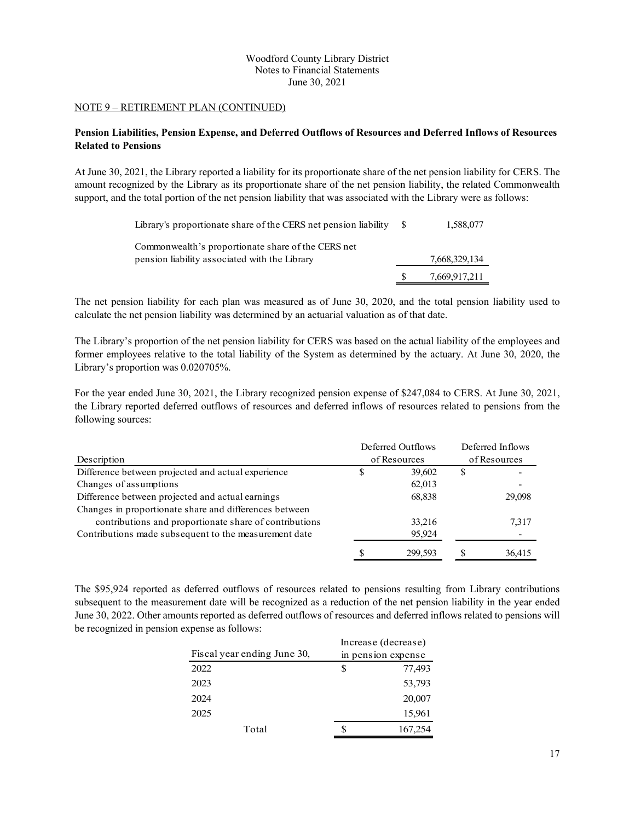#### NOTE 9 – RETIREMENT PLAN (CONTINUED)

## **Pension Liabilities, Pension Expense, and Deferred Outflows of Resources and Deferred Inflows of Resources Related to Pensions**

At June 30, 2021, the Library reported a liability for its proportionate share of the net pension liability for CERS. The amount recognized by the Library as its proportionate share of the net pension liability, the related Commonwealth support, and the total portion of the net pension liability that was associated with the Library were as follows:

| Library's proportionate share of the CERS net pension liability $\$$ | 1,588,077     |
|----------------------------------------------------------------------|---------------|
| Commonwealth's proportionate share of the CERS net                   |               |
| pension liability associated with the Library                        | 7,668,329,134 |
|                                                                      | 7,669,917,211 |

The net pension liability for each plan was measured as of June 30, 2020, and the total pension liability used to calculate the net pension liability was determined by an actuarial valuation as of that date.

The Library's proportion of the net pension liability for CERS was based on the actual liability of the employees and former employees relative to the total liability of the System as determined by the actuary. At June 30, 2020, the Library's proportion was 0.020705%.

For the year ended June 30, 2021, the Library recognized pension expense of \$247,084 to CERS. At June 30, 2021, the Library reported deferred outflows of resources and deferred inflows of resources related to pensions from the following sources:

|                                                        | Deferred Outflows |         |              | Deferred Inflows |
|--------------------------------------------------------|-------------------|---------|--------------|------------------|
| Description                                            | of Resources      |         | of Resources |                  |
| Difference between projected and actual experience     | J                 | 39,602  | \$           |                  |
| Changes of assumptions                                 |                   | 62,013  |              |                  |
| Difference between projected and actual earnings       |                   | 68,838  |              | 29,098           |
| Changes in proportionate share and differences between |                   |         |              |                  |
| contributions and proportionate share of contributions |                   | 33,216  |              | 7,317            |
| Contributions made subsequent to the measurement date  |                   | 95,924  |              |                  |
|                                                        |                   | 299.593 |              | 36,415           |

The \$95,924 reported as deferred outflows of resources related to pensions resulting from Library contributions subsequent to the measurement date will be recognized as a reduction of the net pension liability in the year ended June 30, 2022. Other amounts reported as deferred outflows of resources and deferred inflows related to pensions will be recognized in pension expense as follows:

Increase (decrease)

|                             | merease (decrease) |         |  |  |
|-----------------------------|--------------------|---------|--|--|
| Fiscal year ending June 30, | in pension expense |         |  |  |
| 2022                        |                    | 77,493  |  |  |
| 2023                        |                    | 53,793  |  |  |
| 2024                        |                    | 20,007  |  |  |
| 2025                        |                    | 15,961  |  |  |
| Total                       |                    | 167,254 |  |  |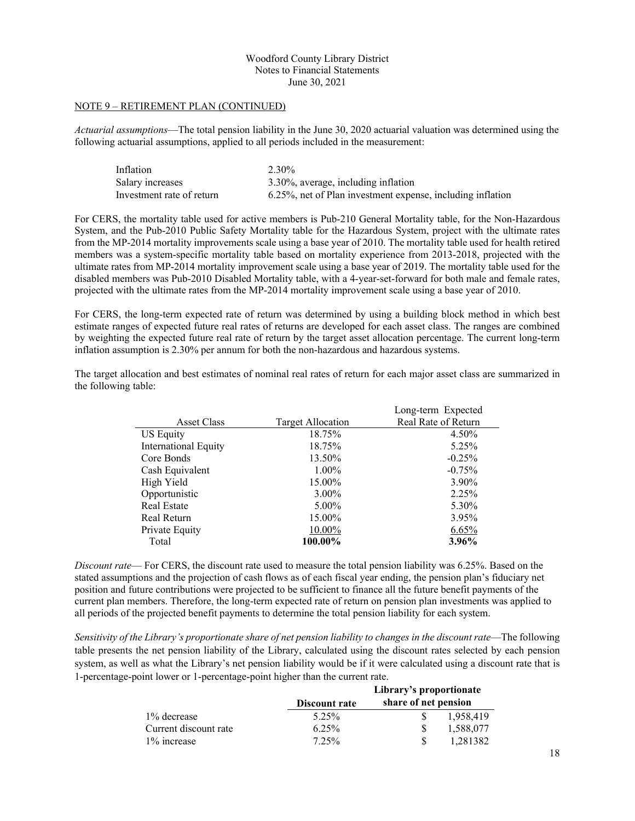## NOTE 9 – RETIREMENT PLAN (CONTINUED)

*Actuarial assumptions*—The total pension liability in the June 30, 2020 actuarial valuation was determined using the following actuarial assumptions, applied to all periods included in the measurement:

| Inflation                 | 2.30%                                                      |
|---------------------------|------------------------------------------------------------|
| Salary increases          | 3.30%, average, including inflation                        |
| Investment rate of return | 6.25%, net of Plan investment expense, including inflation |

For CERS, the mortality table used for active members is Pub-210 General Mortality table, for the Non-Hazardous System, and the Pub-2010 Public Safety Mortality table for the Hazardous System, project with the ultimate rates from the MP-2014 mortality improvements scale using a base year of 2010. The mortality table used for health retired members was a system-specific mortality table based on mortality experience from 2013-2018, projected with the ultimate rates from MP-2014 mortality improvement scale using a base year of 2019. The mortality table used for the disabled members was Pub-2010 Disabled Mortality table, with a 4-year-set-forward for both male and female rates, projected with the ultimate rates from the MP-2014 mortality improvement scale using a base year of 2010.

For CERS, the long-term expected rate of return was determined by using a building block method in which best estimate ranges of expected future real rates of returns are developed for each asset class. The ranges are combined by weighting the expected future real rate of return by the target asset allocation percentage. The current long-term inflation assumption is 2.30% per annum for both the non-hazardous and hazardous systems.

The target allocation and best estimates of nominal real rates of return for each major asset class are summarized in the following table:

|                             |                   | Long-term Expected  |
|-----------------------------|-------------------|---------------------|
| <b>Asset Class</b>          | Target Allocation | Real Rate of Return |
| US Equity                   | 18.75%            | 4.50%               |
| <b>International Equity</b> | 18.75%            | 5.25%               |
| Core Bonds                  | 13.50%            | $-0.25%$            |
| Cash Equivalent             | 1.00%             | $-0.75%$            |
| High Yield                  | 15.00%            | 3.90%               |
| Opportunistic               | $3.00\%$          | 2.25%               |
| <b>Real Estate</b>          | 5.00%             | 5.30%               |
| Real Return                 | 15.00%            | 3.95%               |
| Private Equity              | 10.00%            | 6.65%               |
| Total                       | 100.00%           | 3.96%               |

*Discount rate*— For CERS, the discount rate used to measure the total pension liability was 6.25%. Based on the stated assumptions and the projection of cash flows as of each fiscal year ending, the pension plan's fiduciary net position and future contributions were projected to be sufficient to finance all the future benefit payments of the current plan members. Therefore, the long-term expected rate of return on pension plan investments was applied to all periods of the projected benefit payments to determine the total pension liability for each system.

*Sensitivity of the Library's proportionate share of net pension liability to changes in the discount rate*—The following table presents the net pension liability of the Library, calculated using the discount rates selected by each pension system, as well as what the Library's net pension liability would be if it were calculated using a discount rate that is 1-percentage-point lower or 1-percentage-point higher than the current rate.

|                       |               | Library's proportionate |           |  |  |
|-----------------------|---------------|-------------------------|-----------|--|--|
|                       | Discount rate | share of net pension    |           |  |  |
| 1% decrease           | 5.25%         |                         | 1,958,419 |  |  |
| Current discount rate | $6.25\%$      |                         | 1.588,077 |  |  |
| 1\% increase          | 7.25%         |                         | 1.281382  |  |  |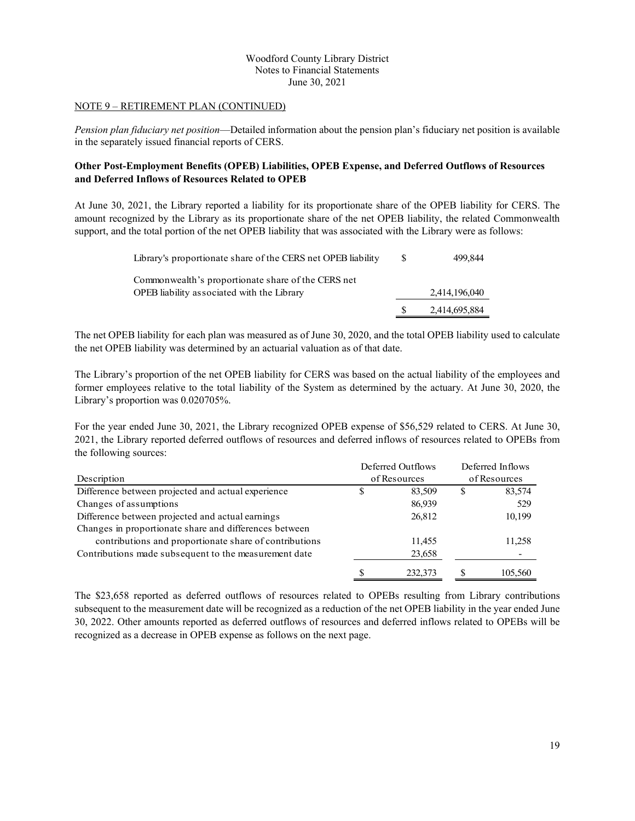#### NOTE 9 – RETIREMENT PLAN (CONTINUED)

*Pension plan fiduciary net position*—Detailed information about the pension plan's fiduciary net position is available in the separately issued financial reports of CERS.

## **Other Post-Employment Benefits (OPEB) Liabilities, OPEB Expense, and Deferred Outflows of Resources and Deferred Inflows of Resources Related to OPEB**

At June 30, 2021, the Library reported a liability for its proportionate share of the OPEB liability for CERS. The amount recognized by the Library as its proportionate share of the net OPEB liability, the related Commonwealth support, and the total portion of the net OPEB liability that was associated with the Library were as follows:

| Library's proportionate share of the CERS net OPEB liability | 499,844       |
|--------------------------------------------------------------|---------------|
| Commonwealth's proportionate share of the CERS net           |               |
| OPEB liability associated with the Library                   | 2,414,196,040 |
|                                                              | 2,414,695,884 |

The net OPEB liability for each plan was measured as of June 30, 2020, and the total OPEB liability used to calculate the net OPEB liability was determined by an actuarial valuation as of that date.

The Library's proportion of the net OPEB liability for CERS was based on the actual liability of the employees and former employees relative to the total liability of the System as determined by the actuary. At June 30, 2020, the Library's proportion was 0.020705%.

For the year ended June 30, 2021, the Library recognized OPEB expense of \$56,529 related to CERS. At June 30, 2021, the Library reported deferred outflows of resources and deferred inflows of resources related to OPEBs from the following sources:

|                                                        |              | Deferred Outflows |   | Deferred Inflows |
|--------------------------------------------------------|--------------|-------------------|---|------------------|
| Description                                            | of Resources |                   |   | of Resources     |
| Difference between projected and actual experience     | \$           | 83,509            | S | 83,574           |
| Changes of assumptions                                 |              | 86,939            |   | 529              |
| Difference between projected and actual earnings       |              | 26,812            |   | 10,199           |
| Changes in proportionate share and differences between |              |                   |   |                  |
| contributions and proportionate share of contributions |              | 11,455            |   | 11,258           |
| Contributions made subsequent to the measurement date  |              | 23,658            |   |                  |
|                                                        |              | 232,373           |   | 105,560          |

The \$23,658 reported as deferred outflows of resources related to OPEBs resulting from Library contributions subsequent to the measurement date will be recognized as a reduction of the net OPEB liability in the year ended June 30, 2022. Other amounts reported as deferred outflows of resources and deferred inflows related to OPEBs will be recognized as a decrease in OPEB expense as follows on the next page.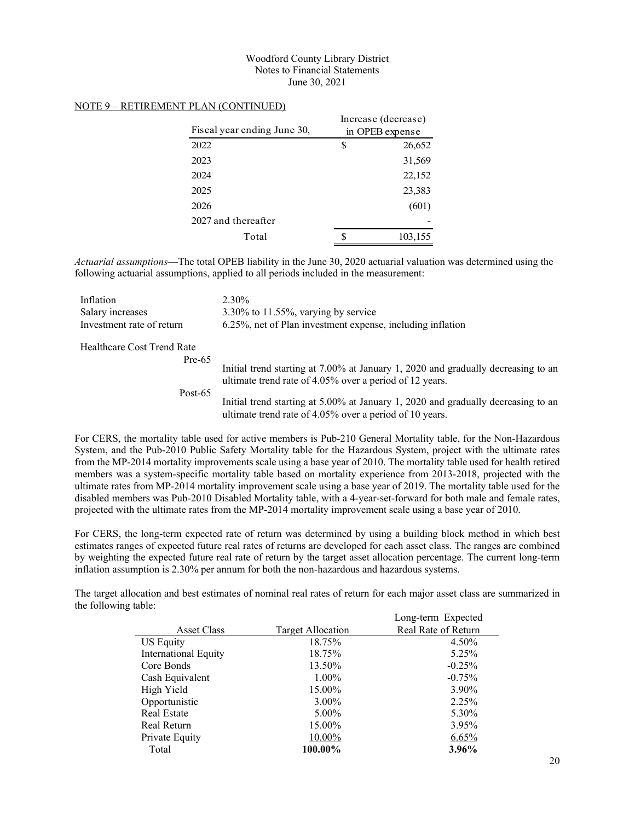## NOTE 9 – RETIREMENT PLAN (CONTINUED)

|                             |    | Increase (decrease) |
|-----------------------------|----|---------------------|
| Fiscal year ending June 30, |    | in OPEB expense     |
| 2022                        | S  | 26,652              |
| 2023                        |    | 31,569              |
| 2024                        |    | 22,152              |
| 2025                        |    | 23,383              |
| 2026                        |    | (601)               |
| 2027 and thereafter         |    |                     |
| Total                       | \$ | 103,155             |

*Actuarial assumptions*—The total OPEB liability in the June 30, 2020 actuarial valuation was determined using the following actuarial assumptions, applied to all periods included in the measurement:

| Inflation                  | $2.30\%$                                                                                                                                     |
|----------------------------|----------------------------------------------------------------------------------------------------------------------------------------------|
| Salary increases           | 3.30% to 11.55%, varying by service                                                                                                          |
| Investment rate of return  | 6.25%, net of Plan investment expense, including inflation                                                                                   |
| Healthcare Cost Trend Rate |                                                                                                                                              |
| $Pre-65$                   |                                                                                                                                              |
|                            | Initial trend starting at 7.00% at January 1, 2020 and gradually decreasing to an                                                            |
|                            | ultimate trend rate of 4.05% over a period of 12 years.                                                                                      |
| Post- $65$                 | Initial trend starting at 5.00% at January 1, 2020 and gradually decreasing to an<br>ultimate trend rate of 4.05% over a period of 10 years. |

For CERS, the mortality table used for active members is Pub-210 General Mortality table, for the Non-Hazardous System, and the Pub-2010 Public Safety Mortality table for the Hazardous System, project with the ultimate rates from the MP-2014 mortality improvements scale using a base year of 2010. The mortality table used for health retired members was a system-specific mortality table based on mortality experience from 2013-2018, projected with the ultimate rates from MP-2014 mortality improvement scale using a base year of 2019. The mortality table used for the disabled members was Pub-2010 Disabled Mortality table, with a 4-year-set-forward for both male and female rates, projected with the ultimate rates from the MP-2014 mortality improvement scale using a base year of 2010.

For CERS, the long-term expected rate of return was determined by using a building block method in which best estimates ranges of expected future real rates of returns are developed for each asset class. The ranges are combined by weighting the expected future real rate of return by the target asset allocation percentage. The current long-term inflation assumption is 2.30% per annum for both the non-hazardous and hazardous systems.

The target allocation and best estimates of nominal real rates of return for each major asset class are summarized in the following table:

|                             |                          | Long-term Expected  |
|-----------------------------|--------------------------|---------------------|
| Asset Class                 | <b>Target Allocation</b> | Real Rate of Return |
| US Equity                   | 18.75%                   | 4.50%               |
| <b>International Equity</b> | 18.75%                   | 5.25%               |
| Core Bonds                  | 13.50%                   | $-0.25%$            |
| Cash Equivalent             | 1.00%                    | $-0.75%$            |
| High Yield                  | 15.00%                   | 3.90%               |
| Opportunistic               | $3.00\%$                 | 2.25%               |
| <b>Real Estate</b>          | 5.00%                    | 5.30%               |
| Real Return                 | 15.00%                   | 3.95%               |
| Private Equity              | 10.00%                   | 6.65%               |
| Total                       | 100.00%                  | 3.96%               |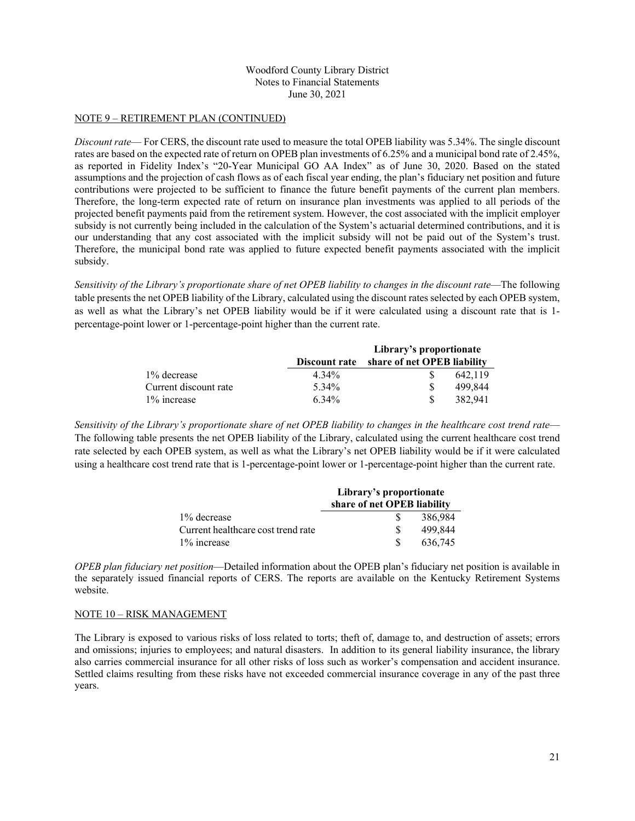#### NOTE 9 – RETIREMENT PLAN (CONTINUED)

*Discount rate*— For CERS, the discount rate used to measure the total OPEB liability was 5.34%. The single discount rates are based on the expected rate of return on OPEB plan investments of 6.25% and a municipal bond rate of 2.45%, as reported in Fidelity Index's "20-Year Municipal GO AA Index" as of June 30, 2020. Based on the stated assumptions and the projection of cash flows as of each fiscal year ending, the plan's fiduciary net position and future contributions were projected to be sufficient to finance the future benefit payments of the current plan members. Therefore, the long-term expected rate of return on insurance plan investments was applied to all periods of the projected benefit payments paid from the retirement system. However, the cost associated with the implicit employer subsidy is not currently being included in the calculation of the System's actuarial determined contributions, and it is our understanding that any cost associated with the implicit subsidy will not be paid out of the System's trust. Therefore, the municipal bond rate was applied to future expected benefit payments associated with the implicit subsidy.

*Sensitivity of the Library's proportionate share of net OPEB liability to changes in the discount rate*—The following table presents the net OPEB liability of the Library, calculated using the discount rates selected by each OPEB system, as well as what the Library's net OPEB liability would be if it were calculated using a discount rate that is 1 percentage-point lower or 1-percentage-point higher than the current rate.

|                       |               | Library's proportionate     |  |  |  |  |
|-----------------------|---------------|-----------------------------|--|--|--|--|
|                       | Discount rate | share of net OPEB liability |  |  |  |  |
| 1\% decrease          | 4.34%         | 642.119                     |  |  |  |  |
| Current discount rate | 5.34%         | 499.844                     |  |  |  |  |
| 1\% increase          | $6.34\%$      | 382.941                     |  |  |  |  |

*Sensitivity of the Library's proportionate share of net OPEB liability to changes in the healthcare cost trend rate*— The following table presents the net OPEB liability of the Library, calculated using the current healthcare cost trend rate selected by each OPEB system, as well as what the Library's net OPEB liability would be if it were calculated using a healthcare cost trend rate that is 1-percentage-point lower or 1-percentage-point higher than the current rate.

|                                    | Library's proportionate     |         |
|------------------------------------|-----------------------------|---------|
|                                    | share of net OPEB liability |         |
| 1% decrease                        | -SS                         | 386.984 |
| Current healthcare cost trend rate | S.                          | 499.844 |
| 1\% increase                       | S.                          | 636.745 |

*OPEB plan fiduciary net position*—Detailed information about the OPEB plan's fiduciary net position is available in the separately issued financial reports of CERS. The reports are available on the Kentucky Retirement Systems website.

## NOTE 10 – RISK MANAGEMENT

The Library is exposed to various risks of loss related to torts; theft of, damage to, and destruction of assets; errors and omissions; injuries to employees; and natural disasters. In addition to its general liability insurance, the library also carries commercial insurance for all other risks of loss such as worker's compensation and accident insurance. Settled claims resulting from these risks have not exceeded commercial insurance coverage in any of the past three years.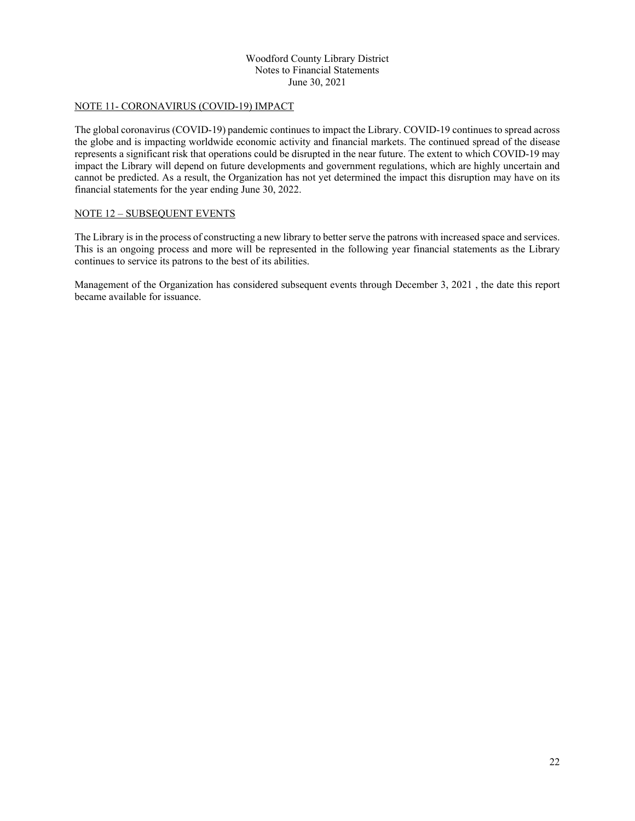#### NOTE 11- CORONAVIRUS (COVID-19) IMPACT

The global coronavirus (COVID-19) pandemic continues to impact the Library. COVID-19 continues to spread across the globe and is impacting worldwide economic activity and financial markets. The continued spread of the disease represents a significant risk that operations could be disrupted in the near future. The extent to which COVID-19 may impact the Library will depend on future developments and government regulations, which are highly uncertain and cannot be predicted. As a result, the Organization has not yet determined the impact this disruption may have on its financial statements for the year ending June 30, 2022.

## NOTE 12 – SUBSEQUENT EVENTS

The Library is in the process of constructing a new library to better serve the patrons with increased space and services. This is an ongoing process and more will be represented in the following year financial statements as the Library continues to service its patrons to the best of its abilities.

Management of the Organization has considered subsequent events through December 3, 2021 , the date this report became available for issuance.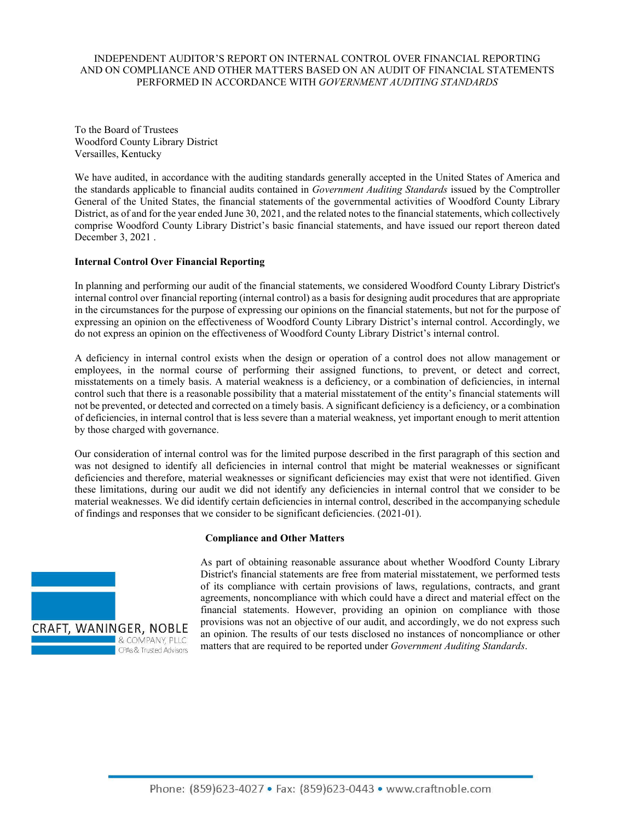#### INDEPENDENT AUDITOR'S REPORT ON INTERNAL CONTROL OVER FINANCIAL REPORTING AND ON COMPLIANCE AND OTHER MATTERS BASED ON AN AUDIT OF FINANCIAL STATEMENTS PERFORMED IN ACCORDANCE WITH *GOVERNMENT AUDITING STANDARDS*

To the Board of Trustees Woodford County Library District Versailles, Kentucky

We have audited, in accordance with the auditing standards generally accepted in the United States of America and the standards applicable to financial audits contained in *Government Auditing Standards* issued by the Comptroller General of the United States, the financial statements of the governmental activities of Woodford County Library District, as of and for the year ended June 30, 2021, and the related notes to the financial statements, which collectively comprise Woodford County Library District's basic financial statements, and have issued our report thereon dated December 3, 2021 .

## **Internal Control Over Financial Reporting**

In planning and performing our audit of the financial statements, we considered Woodford County Library District's internal control over financial reporting (internal control) as a basis for designing audit procedures that are appropriate in the circumstances for the purpose of expressing our opinions on the financial statements, but not for the purpose of expressing an opinion on the effectiveness of Woodford County Library District's internal control. Accordingly, we do not express an opinion on the effectiveness of Woodford County Library District's internal control.

A deficiency in internal control exists when the design or operation of a control does not allow management or employees, in the normal course of performing their assigned functions, to prevent, or detect and correct, misstatements on a timely basis. A material weakness is a deficiency, or a combination of deficiencies, in internal control such that there is a reasonable possibility that a material misstatement of the entity's financial statements will not be prevented, or detected and corrected on a timely basis. A significant deficiency is a deficiency, or a combination of deficiencies, in internal control that is less severe than a material weakness, yet important enough to merit attention by those charged with governance.

Our consideration of internal control was for the limited purpose described in the first paragraph of this section and was not designed to identify all deficiencies in internal control that might be material weaknesses or significant deficiencies and therefore, material weaknesses or significant deficiencies may exist that were not identified. Given these limitations, during our audit we did not identify any deficiencies in internal control that we consider to be material weaknesses. We did identify certain deficiencies in internal control, described in the accompanying schedule of findings and responses that we consider to be significant deficiencies. (2021-01).

#### **Compliance and Other Matters**



As part of obtaining reasonable assurance about whether Woodford County Library District's financial statements are free from material misstatement, we performed tests of its compliance with certain provisions of laws, regulations, contracts, and grant agreements, noncompliance with which could have a direct and material effect on the financial statements. However, providing an opinion on compliance with those provisions was not an objective of our audit, and accordingly, we do not express such an opinion. The results of our tests disclosed no instances of noncompliance or other matters that are required to be reported under *Government Auditing Standards*.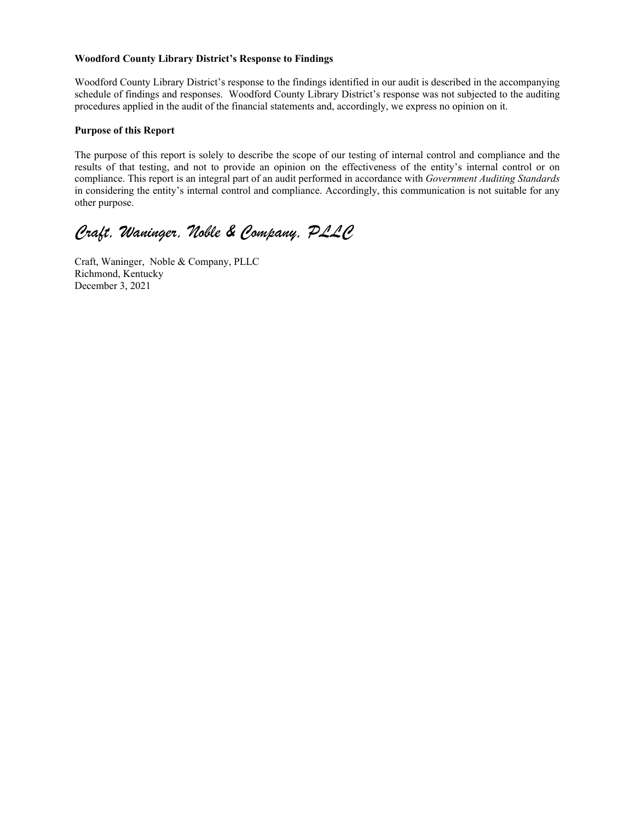#### **Woodford County Library District's Response to Findings**

Woodford County Library District's response to the findings identified in our audit is described in the accompanying schedule of findings and responses. Woodford County Library District's response was not subjected to the auditing procedures applied in the audit of the financial statements and, accordingly, we express no opinion on it.

#### **Purpose of this Report**

The purpose of this report is solely to describe the scope of our testing of internal control and compliance and the results of that testing, and not to provide an opinion on the effectiveness of the entity's internal control or on compliance. This report is an integral part of an audit performed in accordance with *Government Auditing Standards* in considering the entity's internal control and compliance. Accordingly, this communication is not suitable for any other purpose.

# *Craft, Waninger, Noble & Company, PLLC*

Craft, Waninger, Noble & Company, PLLC Richmond, Kentucky December 3, 2021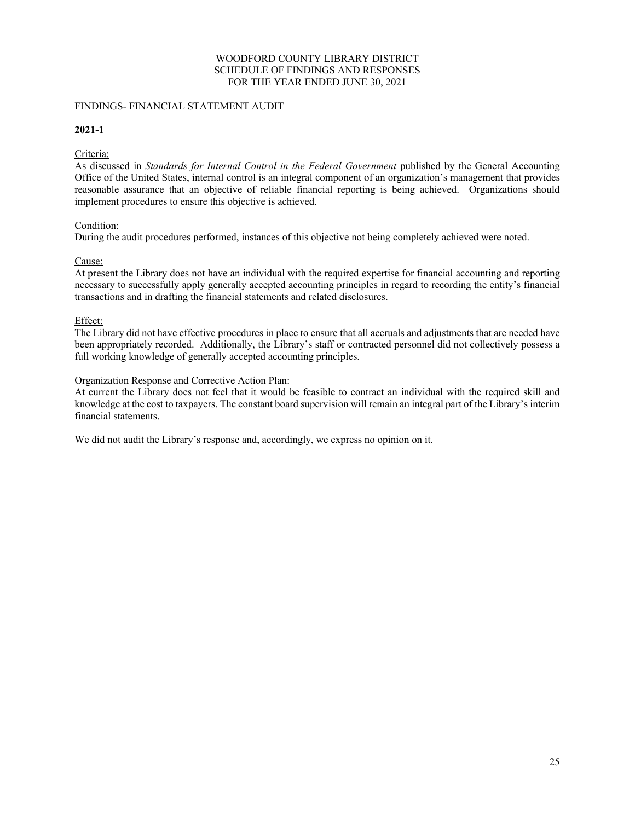#### WOODFORD COUNTY LIBRARY DISTRICT SCHEDULE OF FINDINGS AND RESPONSES FOR THE YEAR ENDED JUNE 30, 2021

#### FINDINGS- FINANCIAL STATEMENT AUDIT

### **2021-1**

### Criteria:

As discussed in *Standards for Internal Control in the Federal Government* published by the General Accounting Office of the United States, internal control is an integral component of an organization's management that provides reasonable assurance that an objective of reliable financial reporting is being achieved. Organizations should implement procedures to ensure this objective is achieved.

#### Condition:

During the audit procedures performed, instances of this objective not being completely achieved were noted.

#### Cause:

At present the Library does not have an individual with the required expertise for financial accounting and reporting necessary to successfully apply generally accepted accounting principles in regard to recording the entity's financial transactions and in drafting the financial statements and related disclosures.

#### Effect:

The Library did not have effective procedures in place to ensure that all accruals and adjustments that are needed have been appropriately recorded. Additionally, the Library's staff or contracted personnel did not collectively possess a full working knowledge of generally accepted accounting principles.

#### Organization Response and Corrective Action Plan:

At current the Library does not feel that it would be feasible to contract an individual with the required skill and knowledge at the cost to taxpayers. The constant board supervision will remain an integral part of the Library's interim financial statements.

We did not audit the Library's response and, accordingly, we express no opinion on it.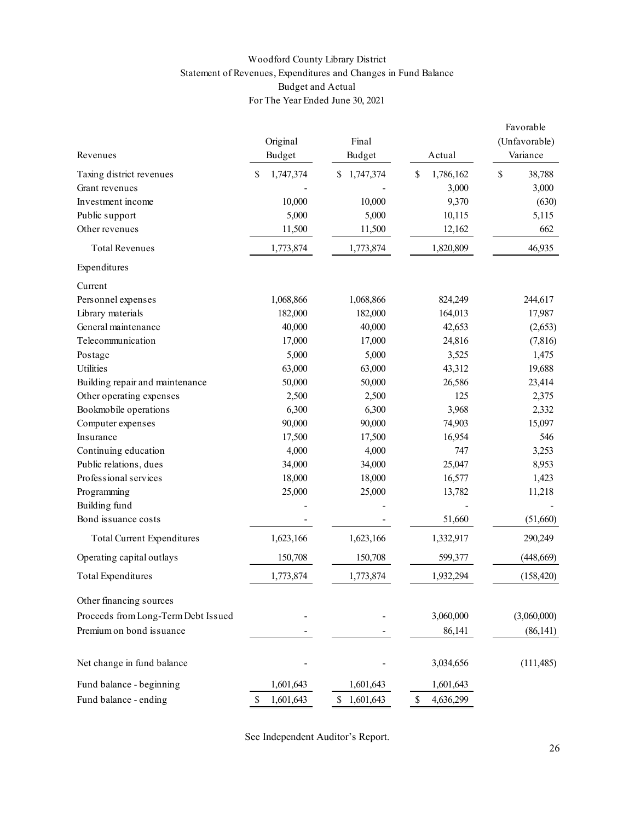## Woodford County Library District Statement of Revenues, Expenditures and Changes in Fund Balance Budget and Actual For The Year Ended June 30, 2021

|                                     | Original        | Final           |                 | Favorable<br>(Unfavorable)<br>Variance |  |  |
|-------------------------------------|-----------------|-----------------|-----------------|----------------------------------------|--|--|
| Revenues                            | <b>Budget</b>   | Budget          | Actual          |                                        |  |  |
| Taxing district revenues            | \$<br>1,747,374 | 1,747,374<br>\$ | \$<br>1,786,162 | \$<br>38,788                           |  |  |
| Grant revenues                      |                 |                 | 3,000           | 3,000                                  |  |  |
| Investment income                   | 10,000          | 10,000          | 9,370           | (630)                                  |  |  |
| Public support                      | 5,000           | 5,000           | 10,115          | 5,115                                  |  |  |
| Other revenues                      | 11,500          | 11,500          | 12,162          | 662                                    |  |  |
| <b>Total Revenues</b>               | 1,773,874       | 1,773,874       | 1,820,809       | 46,935                                 |  |  |
| Expenditures                        |                 |                 |                 |                                        |  |  |
| Current                             |                 |                 |                 |                                        |  |  |
| Personnel expenses                  | 1,068,866       | 1,068,866       | 824,249         | 244,617                                |  |  |
| Library materials                   | 182,000         | 182,000         | 164,013         | 17,987                                 |  |  |
| General maintenance                 | 40,000          | 40,000          | 42,653          | (2,653)                                |  |  |
| Telecommunication                   | 17,000          | 17,000          | 24,816          | (7, 816)                               |  |  |
| Postage                             | 5,000           | 5,000           | 3,525           | 1,475                                  |  |  |
| Utilities                           | 63,000          | 63,000          | 43,312          | 19,688                                 |  |  |
| Building repair and maintenance     | 50,000          | 50,000          | 26,586          | 23,414                                 |  |  |
| Other operating expenses            | 2,500           | 2,500           | 125             | 2,375                                  |  |  |
| Bookmobile operations               | 6,300           | 6,300           | 3,968           | 2,332                                  |  |  |
| Computer expenses                   | 90,000          | 90,000          | 74,903          | 15,097                                 |  |  |
| Insurance                           | 17,500          | 17,500          | 16,954          | 546                                    |  |  |
| Continuing education                | 4,000           | 4,000           | 747             | 3,253                                  |  |  |
| Public relations, dues              | 34,000          | 34,000          | 25,047          | 8,953                                  |  |  |
| Professional services               | 18,000          | 18,000          | 16,577          | 1,423                                  |  |  |
| Programming                         | 25,000          | 25,000          | 13,782          | 11,218                                 |  |  |
| Building fund                       |                 |                 |                 |                                        |  |  |
| Bond issuance costs                 |                 |                 | 51,660          | (51,660)                               |  |  |
| <b>Total Current Expenditures</b>   | 1,623,166       | 1,623,166       | 1,332,917       | 290,249                                |  |  |
| Operating capital outlays           | 150,708         | 150,708         | 599,377         | (448, 669)                             |  |  |
| <b>Total Expenditures</b>           | 1,773,874       | 1,773,874       | 1,932,294       | (158, 420)                             |  |  |
| Other financing sources             |                 |                 |                 |                                        |  |  |
| Proceeds from Long-Term Debt Issued |                 |                 | 3,060,000       | (3,060,000)                            |  |  |
| Premium on bond issuance            |                 |                 | 86,141          | (86, 141)                              |  |  |
| Net change in fund balance          |                 |                 | 3,034,656       | (111, 485)                             |  |  |
| Fund balance - beginning            | 1,601,643       | 1,601,643       | 1,601,643       |                                        |  |  |
| Fund balance - ending               | 1,601,643<br>\$ | \$1,601,643     | \$<br>4,636,299 |                                        |  |  |
|                                     |                 |                 |                 |                                        |  |  |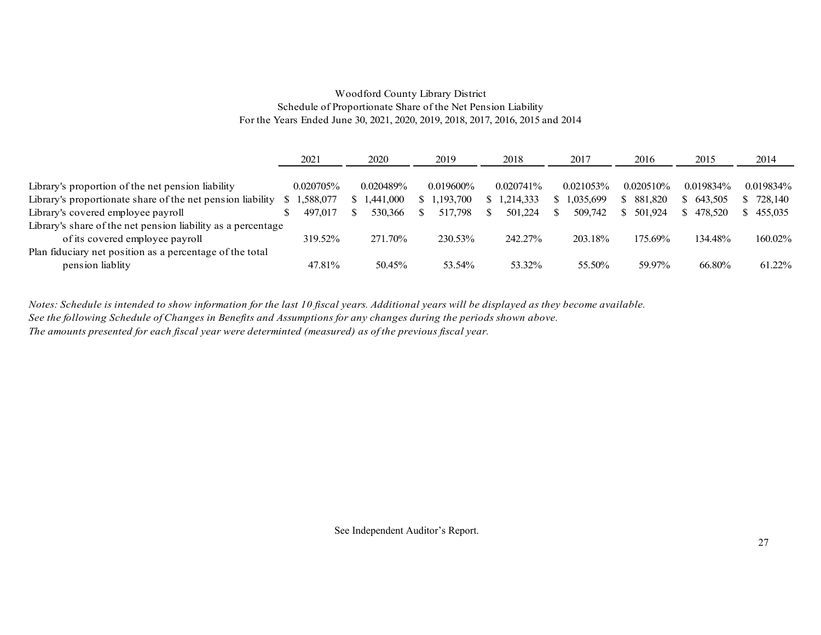## Woodford County Library District Schedule of Proportionate Share of the Net Pension Liability For the Years Ended June 30, 2021, 2020, 2019, 2018, 2017, 2016, 2015 and 2014

|                                                              | 2021           | 2020        | 2019                     | 2018           | 2017      | 2016         | 2015         | 2014       |
|--------------------------------------------------------------|----------------|-------------|--------------------------|----------------|-----------|--------------|--------------|------------|
|                                                              |                |             |                          |                |           |              |              |            |
| Library's proportion of the net pension liability            | 0.020705\%     | 0.020489%   | $0.019600\%$             | $0.020741\%$   | 0.021053% | $0.020510\%$ | $0.019834\%$ | 0.019834%  |
| Library's proportionate share of the net pension liability   | .588,077<br>S. | \$1,441,000 | 1,193,700<br>$S^{\circ}$ | ,214,333<br>S. | 1.035.699 | \$ 881,820   | \$643,505    | \$ 728,140 |
| Library's covered employee payroll                           | 497,017        | 530,366     | 517,798<br>S.            | 501,224        | 509,742   | \$ 501,924   | \$478,520    | \$455,035  |
| Library's share of the net pension liability as a percentage |                |             |                          |                |           |              |              |            |
| of its covered employee payroll                              | 319.52%        | 271.70%     | 230.53%                  | 242.27%        | 203.18%   | 175.69%      | 134.48%      | $160.02\%$ |
| Plan fiduciary net position as a percentage of the total     |                |             |                          |                |           |              |              |            |
| pension liablity                                             | 47.81%         | 50.45%      | 53.54%                   | 53.32%         | 55.50%    | 59.97%       | 66.80%       | 61.22%     |

*Notes: Schedule is intended to show information for the last 10 fiscal years. Additional years will be displayed as they become available.*

*See the following Schedule of Changes in Benefits and Assumptions for any changes during the periods shown above.*

*The amounts presented for each fiscal year were determinted (measured) as of the previous fiscal year.*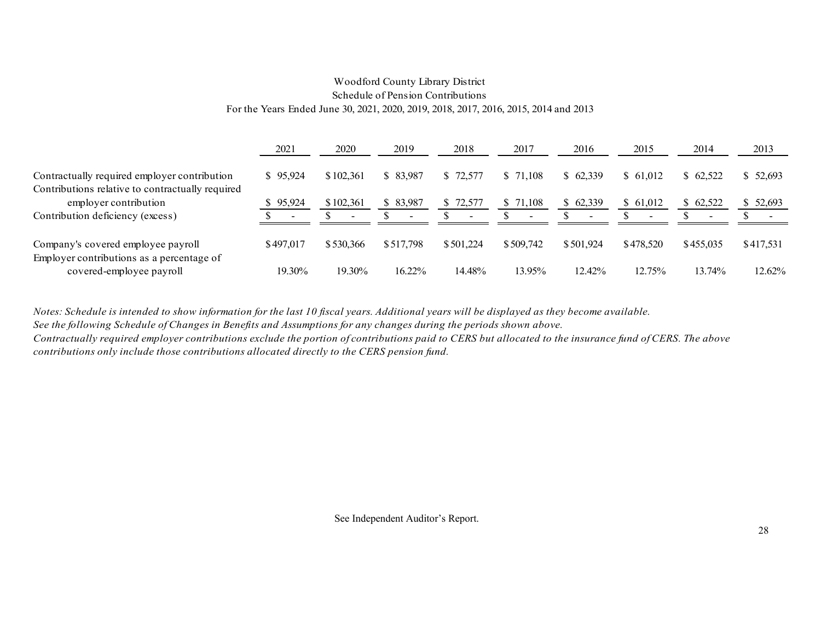## Woodford County Library District Schedule of Pension Contributions For the Years Ended June 30, 2021, 2020, 2019, 2018, 2017, 2016, 2015, 2014 and 2013

|                                                                                                  | 2021      | 2020      | 2019               | 2018                | 2017               | 2016               | 2015                                  | 2014             | 2013      |
|--------------------------------------------------------------------------------------------------|-----------|-----------|--------------------|---------------------|--------------------|--------------------|---------------------------------------|------------------|-----------|
| Contractually required employer contribution<br>Contributions relative to contractually required | \$95.924  | \$102,361 | \$ 83,987          | \$ 72,577           | \$ 71,108          | \$62,339           | \$ 61,012                             | \$62,522         | \$52,693  |
| employer contribution<br>Contribution deficiency (excess)                                        | \$95,924  | \$102,361 | \$83,987<br>$\sim$ | \$ 72,577<br>$\sim$ | \$71,108<br>$\sim$ | \$62,339<br>$\sim$ | \$ 61,012<br>$\overline{\phantom{0}}$ | \$62,522<br>$\,$ | \$52,693  |
| Company's covered employee payroll<br>Employer contributions as a percentage of                  | \$497,017 | \$530,366 | \$517.798          | \$501,224           | \$509,742          | \$501,924          | \$478,520                             | \$455,035        | \$417,531 |
| covered-employee payroll                                                                         | 19.30%    | 19.30%    | $16.22\%$          | 14.48%              | 13.95%             | 12.42%             | 12.75%                                | 13.74%           | 12.62%    |

*Notes: Schedule is intended to show information for the last 10 fiscal years. Additional years will be displayed as they become available.*

*See the following Schedule of Changes in Benefits and Assumptions for any changes during the periods shown above.*

*Contractually required employer contributions exclude the portion of contributions paid to CERS but allocated to the insurance fund of CERS. The above contributions only include those contributions allocated directly to the CERS pension fund.*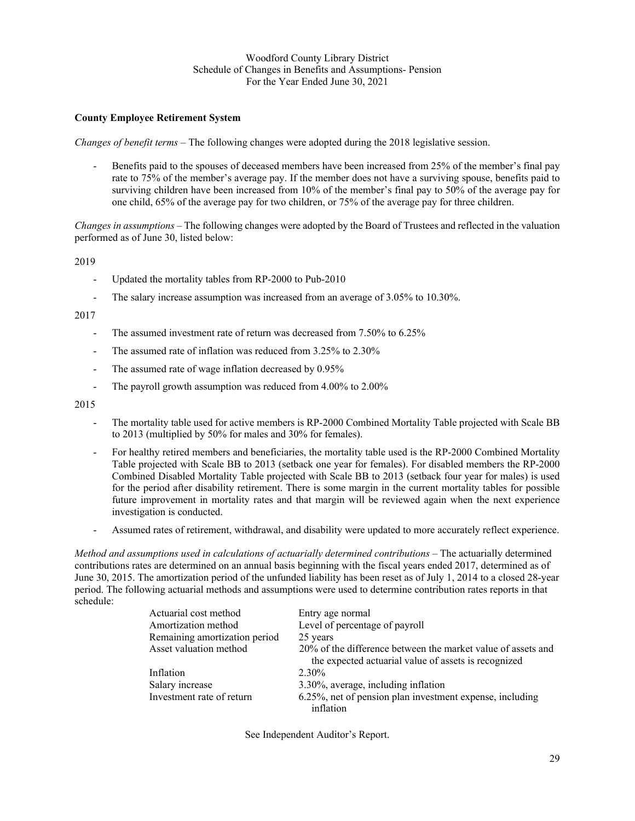## Woodford County Library District Schedule of Changes in Benefits and Assumptions- Pension For the Year Ended June 30, 2021

## **County Employee Retirement System**

*Changes of benefit terms –* The following changes were adopted during the 2018 legislative session.

Benefits paid to the spouses of deceased members have been increased from 25% of the member's final pay rate to 75% of the member's average pay. If the member does not have a surviving spouse, benefits paid to surviving children have been increased from 10% of the member's final pay to 50% of the average pay for one child, 65% of the average pay for two children, or 75% of the average pay for three children.

*Changes in assumptions –* The following changes were adopted by the Board of Trustees and reflected in the valuation performed as of June 30, listed below:

2019

- Updated the mortality tables from RP-2000 to Pub-2010
- The salary increase assumption was increased from an average of 3.05% to 10.30%.

2017

- The assumed investment rate of return was decreased from 7.50% to 6.25%
- The assumed rate of inflation was reduced from 3.25% to 2.30%
- The assumed rate of wage inflation decreased by  $0.95\%$
- The payroll growth assumption was reduced from 4.00% to 2.00%

2015

- The mortality table used for active members is RP-2000 Combined Mortality Table projected with Scale BB to 2013 (multiplied by 50% for males and 30% for females).
- For healthy retired members and beneficiaries, the mortality table used is the RP-2000 Combined Mortality Table projected with Scale BB to 2013 (setback one year for females). For disabled members the RP-2000 Combined Disabled Mortality Table projected with Scale BB to 2013 (setback four year for males) is used for the period after disability retirement. There is some margin in the current mortality tables for possible future improvement in mortality rates and that margin will be reviewed again when the next experience investigation is conducted.
- Assumed rates of retirement, withdrawal, and disability were updated to more accurately reflect experience.

*Method and assumptions used in calculations of actuarially determined contributions – The actuarially determined* contributions rates are determined on an annual basis beginning with the fiscal years ended 2017, determined as of June 30, 2015. The amortization period of the unfunded liability has been reset as of July 1, 2014 to a closed 28-year period. The following actuarial methods and assumptions were used to determine contribution rates reports in that schedule:

| Actuarial cost method         | Entry age normal                                                                                                     |
|-------------------------------|----------------------------------------------------------------------------------------------------------------------|
| Amortization method           | Level of percentage of payroll                                                                                       |
| Remaining amortization period | 25 years                                                                                                             |
| Asset valuation method        | 20% of the difference between the market value of assets and<br>the expected actuarial value of assets is recognized |
| Inflation                     | $2.30\%$                                                                                                             |
| Salary increase               | 3.30%, average, including inflation                                                                                  |
| Investment rate of return     | 6.25%, net of pension plan investment expense, including<br>inflation                                                |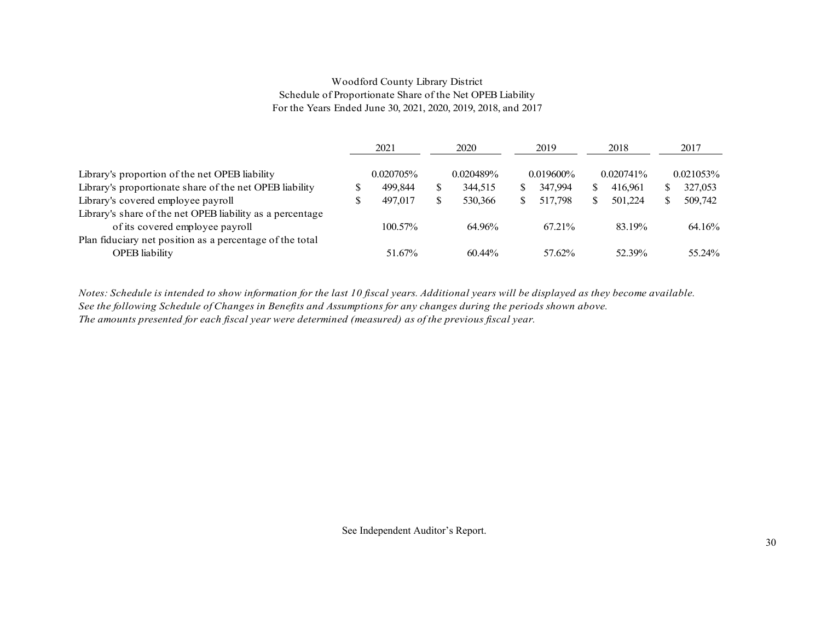## Woodford County Library District Schedule of Proportionate Share of the Net OPEB Liability For the Years Ended June 30, 2021, 2020, 2019, 2018, and 2017

|                                                           | 2021 |              | 2020 |              | 2019 |              | 2018 |              | 2017 |           |
|-----------------------------------------------------------|------|--------------|------|--------------|------|--------------|------|--------------|------|-----------|
| Library's proportion of the net OPEB liability            |      | $0.020705\%$ |      | $0.020489\%$ |      | $0.019600\%$ |      | $0.020741\%$ |      | 0.021053% |
| Library's proportionate share of the net OPEB liability   | ل    | 499,844      | \$   | 344,515      |      | 347,994      | S.   | 416.961      | S    | 327,053   |
| Library's covered employee payroll                        | Φ    | 497,017      | \$   | 530,366      |      | 517,798      | S.   | 501,224      | S    | 509,742   |
| Library's share of the net OPEB liability as a percentage |      |              |      |              |      |              |      |              |      |           |
| of its covered employee payroll                           |      | $100.57\%$   |      | 64.96%       |      | 67.21%       |      | 83.19%       |      | 64.16%    |
| Plan fiduciary net position as a percentage of the total  |      |              |      |              |      |              |      |              |      |           |
| <b>OPEB</b> liability                                     |      | 51.67%       |      | $60.44\%$    |      | 57.62%       |      | 52.39%       |      | 55.24%    |

*Notes: Schedule is intended to show information for the last 10 fiscal years. Additional years will be displayed as they become available. See the following Schedule of Changes in Benefits and Assumptions for any changes during the periods shown above. The amounts presented for each fiscal year were determined (measured) as of the previous fiscal year.*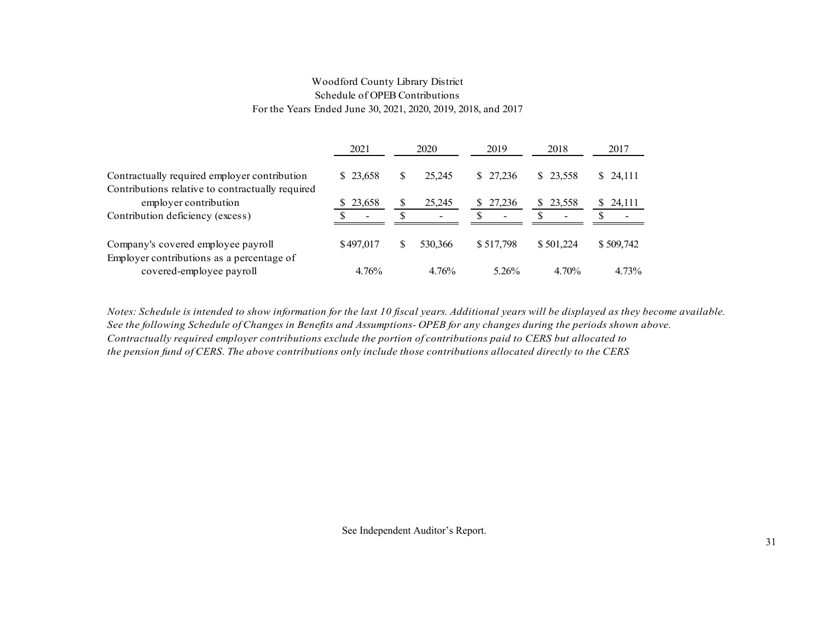## Woodford County Library District Schedule of OPEB Contributions For the Years Ended June 30, 2021, 2020, 2019, 2018, and 2017

|                                                                                                               | 2021                                 |   | 2020                               | 2019                                 | 2018                                     | 2017        |
|---------------------------------------------------------------------------------------------------------------|--------------------------------------|---|------------------------------------|--------------------------------------|------------------------------------------|-------------|
| Contractually required employer contribution                                                                  | \$23,658                             | S | 25,245                             | \$27.236                             | \$23,558                                 | \$24,111    |
| Contributions relative to contractually required<br>employer contribution<br>Contribution deficiency (excess) | \$23,658<br>$\overline{\phantom{0}}$ |   | 25,245<br>$\overline{\phantom{a}}$ | \$27.236<br>$\overline{\phantom{a}}$ | 23,558<br>S.<br>$\overline{\phantom{a}}$ | 24,111<br>S |
|                                                                                                               |                                      |   |                                    |                                      |                                          |             |
| Company's covered employee payroll<br>Employer contributions as a percentage of                               | \$497,017                            |   | 530,366                            | \$517,798                            | \$501,224                                | \$509,742   |
| covered-employee payroll                                                                                      | 4.76%                                |   | 4.76%                              | 5.26%                                | $4.70\%$                                 | 4.73%       |

*Notes: Schedule is intended to show information for the last 10 fiscal years. Additional years will be displayed as they become available. See the following Schedule of Changes in Benefits and Assumptions- OPEB for any changes during the periods shown above. Contractually required employer contributions exclude the portion of contributions paid to CERS but allocated to the pension fund of CERS. The above contributions only include those contributions allocated directly to the CERS*